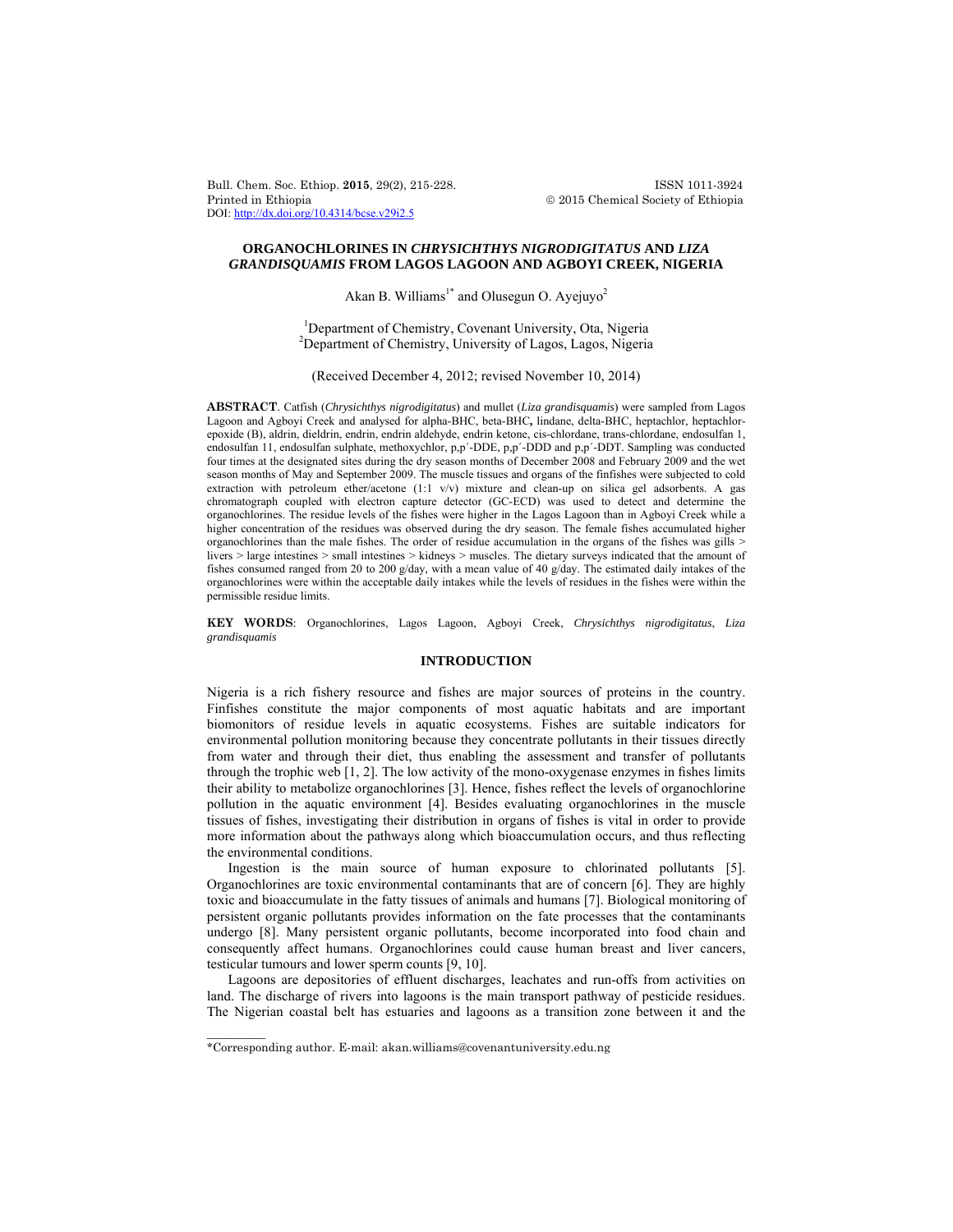Bull. Chem. Soc. Ethiop. **2015**, 29(2), 215-228. ISSN 1011-3924 Printed in Ethiopia  $\oslash$  2015 Chemical Society of Ethiopia DOI: http://dx.doi.org/10.4314/bcse.v29i2.5

# **ORGANOCHLORINES IN** *CHRYSICHTHYS NIGRODIGITATUS* **AND** *LIZA GRANDISQUAMIS* **FROM LAGOS LAGOON AND AGBOYI CREEK, NIGERIA**

Akan B. Williams<sup>1\*</sup> and Olusegun O. Ayejuyo<sup>2</sup>

<sup>1</sup>Department of Chemistry, Covenant University, Ota, Nigeria <sup>2</sup>Department of Chemistry, University of Lagos, Lagos, Nigeria

(Received December 4, 2012; revised November 10, 2014)

**ABSTRACT**. Catfish (*Chrysichthys nigrodigitatus*) and mullet (*Liza grandisquamis*) were sampled from Lagos Lagoon and Agboyi Creek and analysed for alpha-BHC, beta-BHC**,** lindane, delta-BHC, heptachlor, heptachlorepoxide (B), aldrin, dieldrin, endrin, endrin aldehyde, endrin ketone, cis-chlordane, trans-chlordane, endosulfan 1, endosulfan 11, endosulfan sulphate, methoxychlor, p,p´-DDE, p,p´-DDD and p,p´-DDT. Sampling was conducted four times at the designated sites during the dry season months of December 2008 and February 2009 and the wet season months of May and September 2009. The muscle tissues and organs of the finfishes were subjected to cold extraction with petroleum ether/acetone (1:1 v/v) mixture and clean-up on silica gel adsorbents. A gas chromatograph coupled with electron capture detector (GC-ECD) was used to detect and determine the organochlorines. The residue levels of the fishes were higher in the Lagos Lagoon than in Agboyi Creek while a higher concentration of the residues was observed during the dry season. The female fishes accumulated higher organochlorines than the male fishes. The order of residue accumulation in the organs of the fishes was gills > livers > large intestines > small intestines > kidneys > muscles. The dietary surveys indicated that the amount of fishes consumed ranged from 20 to 200 g/day, with a mean value of 40 g/day. The estimated daily intakes of the organochlorines were within the acceptable daily intakes while the levels of residues in the fishes were within the permissible residue limits.

**KEY WORDS**: Organochlorines, Lagos Lagoon, Agboyi Creek, *Chrysichthys nigrodigitatus*, *Liza grandisquamis*

# **INTRODUCTION**

Nigeria is a rich fishery resource and fishes are major sources of proteins in the country. Finfishes constitute the major components of most aquatic habitats and are important biomonitors of residue levels in aquatic ecosystems. Fishes are suitable indicators for environmental pollution monitoring because they concentrate pollutants in their tissues directly from water and through their diet, thus enabling the assessment and transfer of pollutants through the trophic web  $[1, 2]$ . The low activity of the mono-oxygenase enzymes in fishes limits their ability to metabolize organochlorines [3]. Hence, fishes reflect the levels of organochlorine pollution in the aquatic environment [4]. Besides evaluating organochlorines in the muscle tissues of fishes, investigating their distribution in organs of fishes is vital in order to provide more information about the pathways along which bioaccumulation occurs, and thus reflecting the environmental conditions.

Ingestion is the main source of human exposure to chlorinated pollutants [5]. Organochlorines are toxic environmental contaminants that are of concern [6]. They are highly toxic and bioaccumulate in the fatty tissues of animals and humans [7]. Biological monitoring of persistent organic pollutants provides information on the fate processes that the contaminants undergo [8]. Many persistent organic pollutants, become incorporated into food chain and consequently affect humans. Organochlorines could cause human breast and liver cancers, testicular tumours and lower sperm counts [9, 10].

 Lagoons are depositories of effluent discharges, leachates and run-offs from activities on land. The discharge of rivers into lagoons is the main transport pathway of pesticide residues. The Nigerian coastal belt has estuaries and lagoons as a transition zone between it and the

 $\overline{\phantom{a}}$ 

<sup>\*</sup>Corresponding author. E-mail: akan.williams@covenantuniversity.edu.ng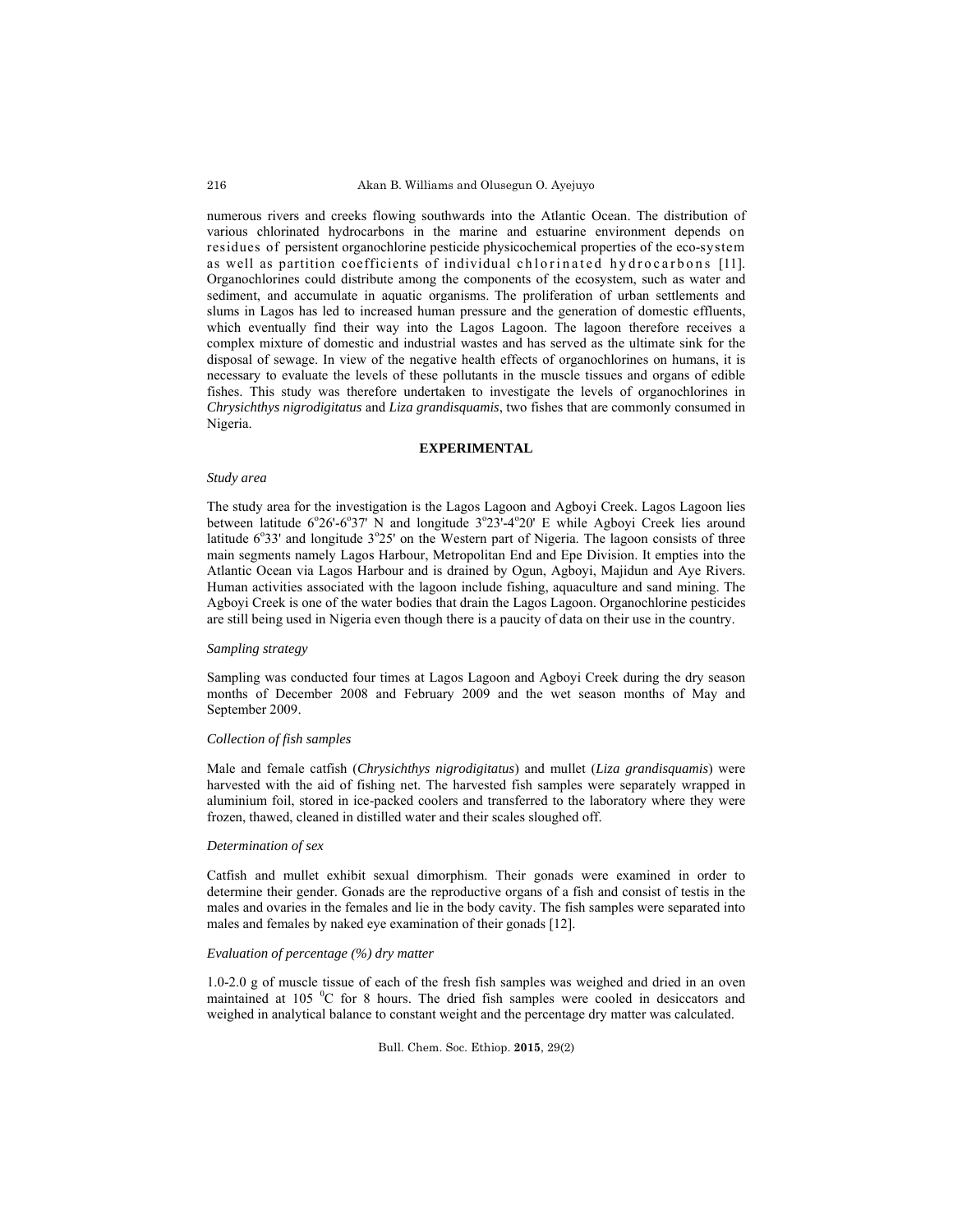numerous rivers and creeks flowing southwards into the Atlantic Ocean. The distribution of various chlorinated hydrocarbons in the marine and estuarine environment depends on residues of persistent organochlorine pesticide physicochemical properties of the eco-system as well as partition coefficients of individual chlorinated hydrocarbons [11]. Organochlorines could distribute among the components of the ecosystem, such as water and sediment, and accumulate in aquatic organisms. The proliferation of urban settlements and slums in Lagos has led to increased human pressure and the generation of domestic effluents, which eventually find their way into the Lagos Lagoon. The lagoon therefore receives a complex mixture of domestic and industrial wastes and has served as the ultimate sink for the disposal of sewage. In view of the negative health effects of organochlorines on humans, it is necessary to evaluate the levels of these pollutants in the muscle tissues and organs of edible fishes. This study was therefore undertaken to investigate the levels of organochlorines in *Chrysichthys nigrodigitatus* and *Liza grandisquamis*, two fishes that are commonly consumed in Nigeria.

## **EXPERIMENTAL**

## *Study area*

The study area for the investigation is the Lagos Lagoon and Agboyi Creek. Lagos Lagoon lies between latitude  $6^{\circ}26^{\circ}6^{\circ}37'$  N and longitude  $3^{\circ}23'$ -4 $^{\circ}20'$  E while Agboyi Creek lies around latitude  $6^{\circ}33'$  and longitude  $3^{\circ}25'$  on the Western part of Nigeria. The lagoon consists of three main segments namely Lagos Harbour, Metropolitan End and Epe Division. It empties into the Atlantic Ocean via Lagos Harbour and is drained by Ogun, Agboyi, Majidun and Aye Rivers. Human activities associated with the lagoon include fishing, aquaculture and sand mining. The Agboyi Creek is one of the water bodies that drain the Lagos Lagoon. Organochlorine pesticides are still being used in Nigeria even though there is a paucity of data on their use in the country.

# *Sampling strategy*

Sampling was conducted four times at Lagos Lagoon and Agboyi Creek during the dry season months of December 2008 and February 2009 and the wet season months of May and September 2009.

#### *Collection of fish samples*

Male and female catfish (*Chrysichthys nigrodigitatus*) and mullet (*Liza grandisquamis*) were harvested with the aid of fishing net. The harvested fish samples were separately wrapped in aluminium foil, stored in ice-packed coolers and transferred to the laboratory where they were frozen, thawed, cleaned in distilled water and their scales sloughed off.

## *Determination of sex*

Catfish and mullet exhibit sexual dimorphism. Their gonads were examined in order to determine their gender. Gonads are the reproductive organs of a fish and consist of testis in the males and ovaries in the females and lie in the body cavity. The fish samples were separated into males and females by naked eye examination of their gonads [12].

## *Evaluation of percentage (%) dry matter*

1.0-2.0 g of muscle tissue of each of the fresh fish samples was weighed and dried in an oven maintained at 105 °C for 8 hours. The dried fish samples were cooled in desiccators and weighed in analytical balance to constant weight and the percentage dry matter was calculated.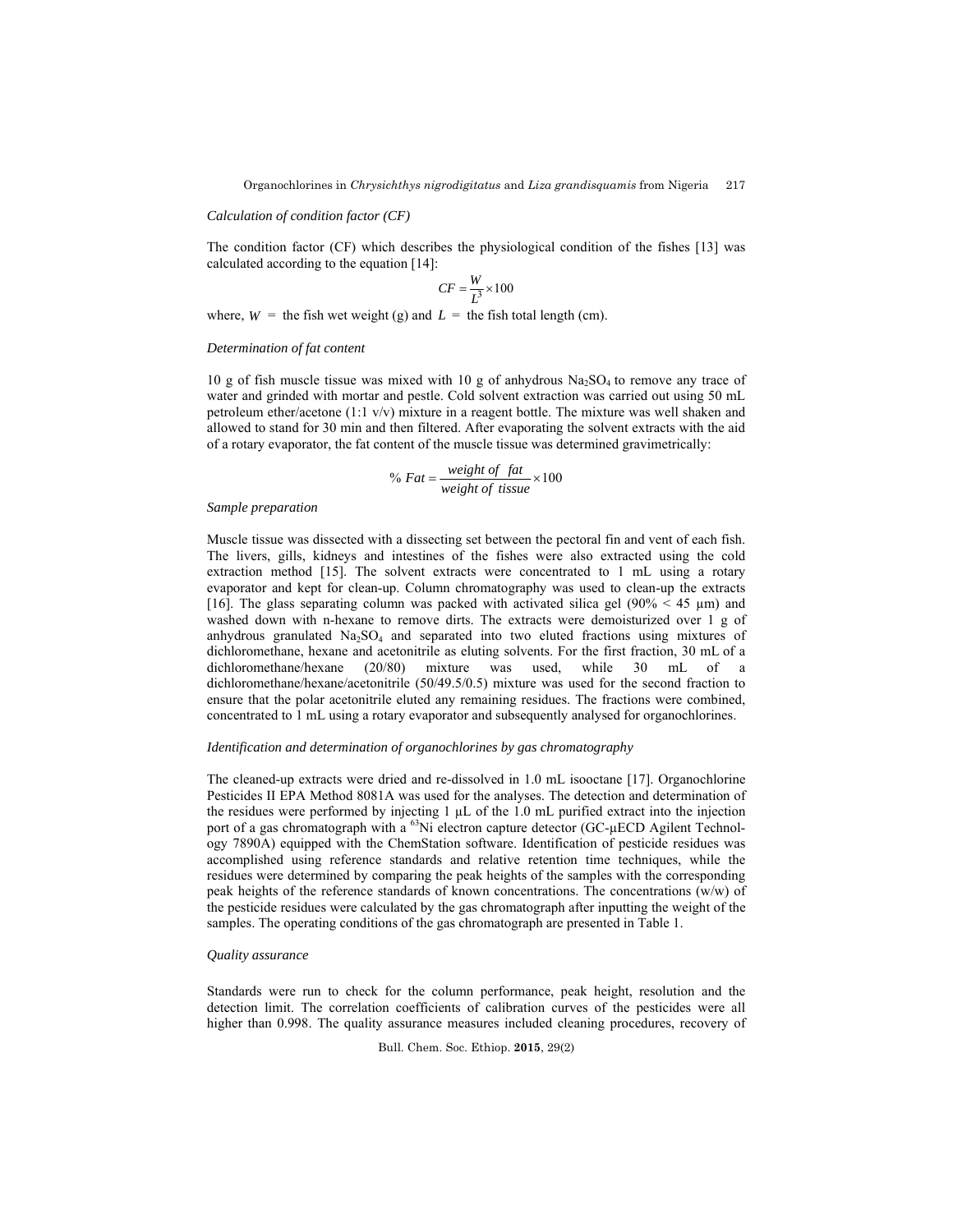## *Calculation of condition factor (CF)*

The condition factor (CF) which describes the physiological condition of the fishes [13] was calculated according to the equation [14]:

$$
CF = \frac{W}{L^3} \times 100
$$

where,  $W =$  the fish wet weight (g) and  $L =$  the fish total length (cm).

#### *Determination of fat content*

10 g of fish muscle tissue was mixed with 10 g of anhydrous  $Na<sub>2</sub>SO<sub>4</sub>$  to remove any trace of water and grinded with mortar and pestle. Cold solvent extraction was carried out using 50 mL petroleum ether/acetone (1:1 v/v) mixture in a reagent bottle. The mixture was well shaken and allowed to stand for 30 min and then filtered. After evaporating the solvent extracts with the aid of a rotary evaporator, the fat content of the muscle tissue was determined gravimetrically:

$$
\% Fat = \frac{weight \ of \ fat}{weight \ of \ tissue} \times 100
$$

#### *Sample preparation*

Muscle tissue was dissected with a dissecting set between the pectoral fin and vent of each fish. The livers, gills, kidneys and intestines of the fishes were also extracted using the cold extraction method [15]. The solvent extracts were concentrated to 1 mL using a rotary evaporator and kept for clean-up. Column chromatography was used to clean-up the extracts [16]. The glass separating column was packed with activated silica gel (90%  $\leq 45 \text{ µm}$ ) and washed down with n-hexane to remove dirts. The extracts were demoisturized over 1 g of anhydrous granulated  $Na<sub>2</sub>SO<sub>4</sub>$  and separated into two eluted fractions using mixtures of dichloromethane, hexane and acetonitrile as eluting solvents. For the first fraction, 30 mL of a dichloromethane/hexane (20/80) mixture was used, while 30 mL of a dichloromethane/hexane/acetonitrile (50/49.5/0.5) mixture was used for the second fraction to ensure that the polar acetonitrile eluted any remaining residues. The fractions were combined, concentrated to 1 mL using a rotary evaporator and subsequently analysed for organochlorines.

## *Identification and determination of organochlorines by gas chromatography*

The cleaned-up extracts were dried and re-dissolved in 1.0 mL isooctane [17]. Organochlorine Pesticides II EPA Method 8081A was used for the analyses. The detection and determination of the residues were performed by injecting 1 µL of the 1.0 mL purified extract into the injection port of a gas chromatograph with a  $^{63}$ Ni electron capture detector (GC- $\mu$ ECD Agilent Technology 7890A) equipped with the ChemStation software. Identification of pesticide residues was accomplished using reference standards and relative retention time techniques, while the residues were determined by comparing the peak heights of the samples with the corresponding peak heights of the reference standards of known concentrations. The concentrations (w/w) of the pesticide residues were calculated by the gas chromatograph after inputting the weight of the samples. The operating conditions of the gas chromatograph are presented in Table 1.

#### *Quality assurance*

Standards were run to check for the column performance, peak height, resolution and the detection limit. The correlation coefficients of calibration curves of the pesticides were all higher than 0.998. The quality assurance measures included cleaning procedures, recovery of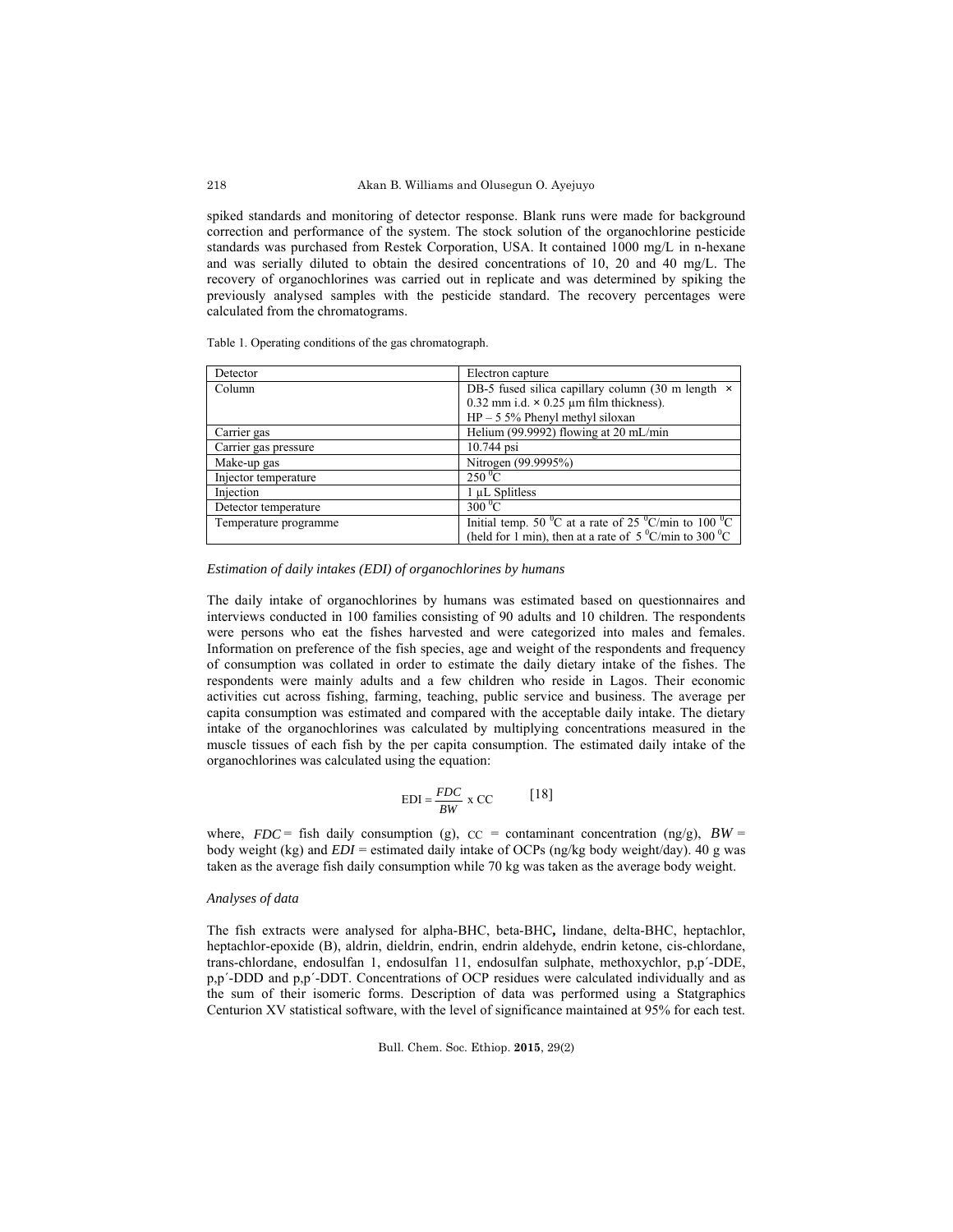spiked standards and monitoring of detector response. Blank runs were made for background correction and performance of the system. The stock solution of the organochlorine pesticide standards was purchased from Restek Corporation, USA. It contained 1000 mg/L in n-hexane and was serially diluted to obtain the desired concentrations of 10, 20 and 40 mg/L. The recovery of organochlorines was carried out in replicate and was determined by spiking the previously analysed samples with the pesticide standard. The recovery percentages were calculated from the chromatograms.

Table 1. Operating conditions of the gas chromatograph.

| Detector              | Electron capture                                                                                      |
|-----------------------|-------------------------------------------------------------------------------------------------------|
| Column                | DB-5 fused silica capillary column (30 m length $\times$                                              |
|                       | $0.32$ mm i.d. $\times$ 0.25 µm film thickness).                                                      |
|                       | $HP - 55\%$ Phenyl methyl siloxan                                                                     |
| Carrier gas           | Helium (99.9992) flowing at $20 \text{ mL/min}$                                                       |
| Carrier gas pressure  | 10.744 psi                                                                                            |
| Make-up gas           | Nitrogen (99.9995%)                                                                                   |
| Injector temperature  | $250\,^0$ C                                                                                           |
| Injection             | 1 µL Splitless                                                                                        |
| Detector temperature  | $300\,^0\overline{C}$                                                                                 |
| Temperature programme | Initial temp. $50\,^{\circ}\text{C}$ at a rate of 25 $^{\circ}\text{C/min}$ to 100 $^{\circ}\text{C}$ |
|                       | (held for 1 min), then at a rate of $5^{\circ}$ C/min to 300 °C                                       |

*Estimation of daily intakes (EDI) of organochlorines by humans* 

The daily intake of organochlorines by humans was estimated based on questionnaires and interviews conducted in 100 families consisting of 90 adults and 10 children. The respondents were persons who eat the fishes harvested and were categorized into males and females. Information on preference of the fish species, age and weight of the respondents and frequency of consumption was collated in order to estimate the daily dietary intake of the fishes. The respondents were mainly adults and a few children who reside in Lagos. Their economic activities cut across fishing, farming, teaching, public service and business. The average per capita consumption was estimated and compared with the acceptable daily intake. The dietary intake of the organochlorines was calculated by multiplying concentrations measured in the muscle tissues of each fish by the per capita consumption. The estimated daily intake of the organochlorines was calculated using the equation:

$$
EDI = \frac{FDC}{BW} \times CC
$$
 [18]

where,  $FDC =$  fish daily consumption (g),  $CC =$  contaminant concentration (ng/g),  $BW =$ body weight (kg) and *EDI* = estimated daily intake of OCPs (ng/kg body weight/day). 40 g was taken as the average fish daily consumption while 70 kg was taken as the average body weight.

#### *Analyses of data*

The fish extracts were analysed for alpha-BHC, beta-BHC**,** lindane, delta-BHC, heptachlor, heptachlor-epoxide (B), aldrin, dieldrin, endrin, endrin aldehyde, endrin ketone, cis-chlordane, trans-chlordane, endosulfan 1, endosulfan 11, endosulfan sulphate, methoxychlor, p,p´-DDE, p,p´-DDD and p,p´-DDT. Concentrations of OCP residues were calculated individually and as the sum of their isomeric forms. Description of data was performed using a Statgraphics Centurion XV statistical software, with the level of significance maintained at 95% for each test.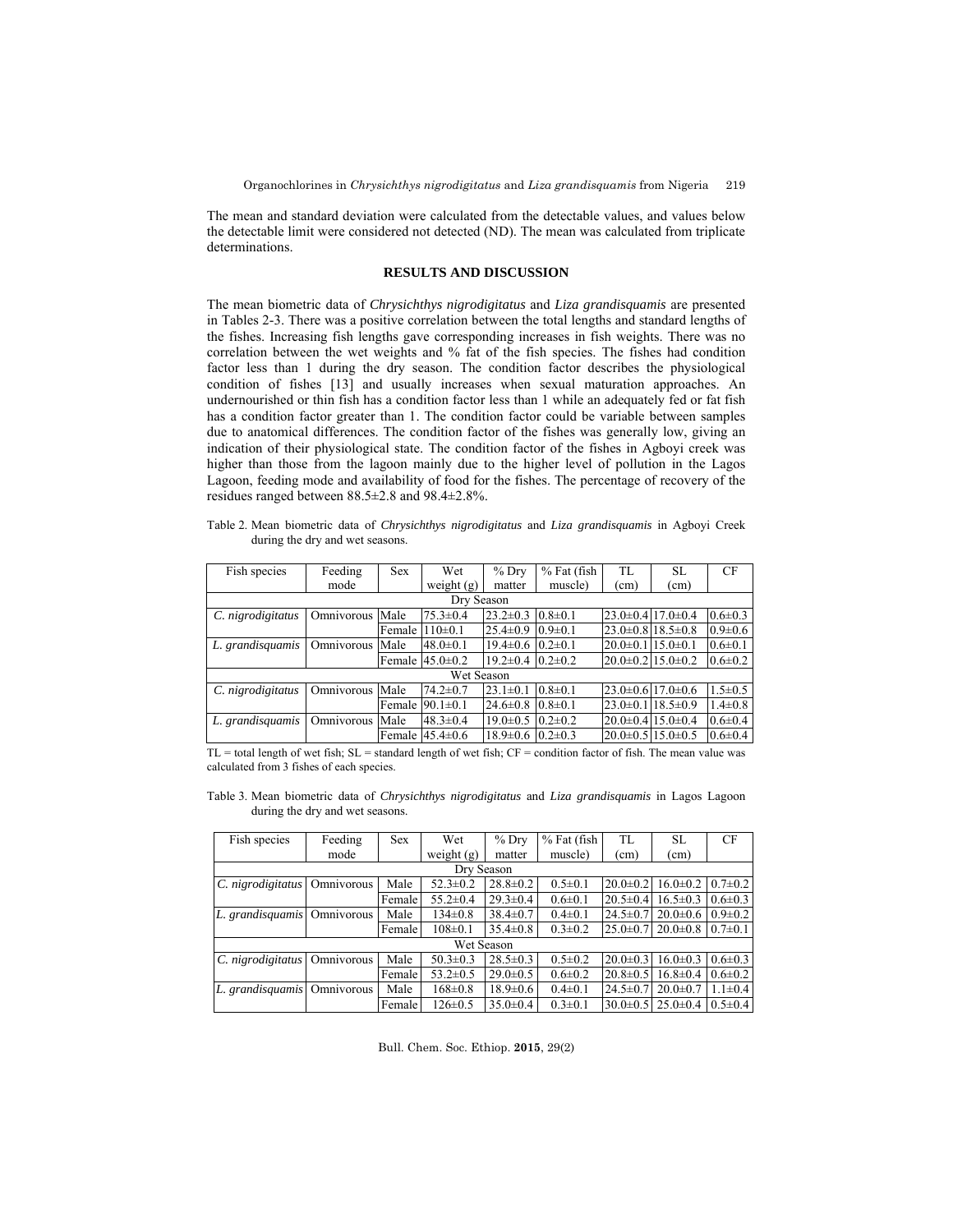The mean and standard deviation were calculated from the detectable values, and values below the detectable limit were considered not detected (ND). The mean was calculated from triplicate determinations.

# **RESULTS AND DISCUSSION**

The mean biometric data of *Chrysichthys nigrodigitatus* and *Liza grandisquamis* are presented in Tables 2-3. There was a positive correlation between the total lengths and standard lengths of the fishes. Increasing fish lengths gave corresponding increases in fish weights. There was no correlation between the wet weights and % fat of the fish species. The fishes had condition factor less than 1 during the dry season. The condition factor describes the physiological condition of fishes [13] and usually increases when sexual maturation approaches. An undernourished or thin fish has a condition factor less than 1 while an adequately fed or fat fish has a condition factor greater than 1. The condition factor could be variable between samples due to anatomical differences. The condition factor of the fishes was generally low, giving an indication of their physiological state. The condition factor of the fishes in Agboyi creek was higher than those from the lagoon mainly due to the higher level of pollution in the Lagos Lagoon, feeding mode and availability of food for the fishes. The percentage of recovery of the residues ranged between 88.5±2.8 and 98.4±2.8%.

Table 2. Mean biometric data of *Chrysichthys nigrodigitatus* and *Liza grandisquamis* in Agboyi Creek during the dry and wet seasons.

| Fish species      | Feeding    | <b>Sex</b> | Wet                  | $%$ Dry                       | % Fat (fish)  | TL.                          | SL             | CF            |  |  |  |
|-------------------|------------|------------|----------------------|-------------------------------|---------------|------------------------------|----------------|---------------|--|--|--|
|                   | mode       |            | weight $(g)$         | matter                        | muscle)       | (cm)                         | (cm)           |               |  |  |  |
| Dry Season        |            |            |                      |                               |               |                              |                |               |  |  |  |
| C. nigrodigitatus | Omnivorous | Male       | $75.3 \pm 0.4$       | $23.2 \pm 0.3$                | $0.8 \pm 0.1$ | $23.0\pm0.4$ 17.0 $\pm0.4$   |                | $0.6 \pm 0.3$ |  |  |  |
|                   |            | Female     | $110\pm0.1$          | $25.4 \pm 0.9$                | $0.9 \pm 0.1$ | $23.0\pm0.8118.5\pm0.8$      |                | $0.9 \pm 0.6$ |  |  |  |
| L. grandisquamis  | Omnivorous | Male       | $48.0 \pm 0.1$       | $19.4\pm0.6$ $0.2\pm0.1$      |               | $20.0 \pm 0.1$               | $15.0 \pm 0.1$ | $0.6 \pm 0.1$ |  |  |  |
|                   |            |            | Female $145.0\pm0.2$ | $19.2 \pm 0.4$ $10.2 \pm 0.2$ |               | $20.0\pm0.2115.0\pm0.2$      |                | $0.6 \pm 0.2$ |  |  |  |
|                   |            |            | Wet Season           |                               |               |                              |                |               |  |  |  |
| C. nigrodigitatus | Omnivorous | Male       | $74.2 \pm 0.7$       | $23.1 \pm 0.1$                | $0.8 \pm 0.1$ | $23.0\pm0.617.0\pm0.6$       |                | $1.5 \pm 0.5$ |  |  |  |
|                   |            | Female     | $90.1 \pm 0.1$       | $24.6 \pm 0.8$                | $0.8 \pm 0.1$ | $23.0 \pm 0.1$               | $18.5 \pm 0.9$ | $1.4 \pm 0.8$ |  |  |  |
| L. grandisquamis  | Omnivorous | Male       | $48.3 \pm 0.4$       | $19.0 \pm 0.5$                | $0.2 \pm 0.2$ | $20.0\pm0.4$ 15.0 $\pm0.4$   |                | $0.6 \pm 0.4$ |  |  |  |
|                   |            |            | Female $145.4\pm0.6$ | $18.9 \pm 0.6$                | $0.2 \pm 0.3$ | $20.0\pm 0.5$ 15.0 $\pm 0.5$ |                | $0.6 \pm 0.4$ |  |  |  |

TL = total length of wet fish; SL = standard length of wet fish; CF = condition factor of fish. The mean value was calculated from 3 fishes of each species.

Table 3. Mean biometric data of *Chrysichthys nigrodigitatus* and *Liza grandisquamis* in Lagos Lagoon during the dry and wet seasons.

| Fish species                 | Feeding | <b>Sex</b> | Wet            | $%$ Dry        | % Fat (fish)  | TL             | <b>SL</b>      | CF            |
|------------------------------|---------|------------|----------------|----------------|---------------|----------------|----------------|---------------|
|                              | mode    |            | weight $(g)$   | matter         | muscle)       | (cm)           | (cm)           |               |
|                              |         |            | Dry Season     |                |               |                |                |               |
| C. nigrodigitatus Omnivorous |         | Male       | $52.3 \pm 0.2$ | $28.8 \pm 0.2$ | $0.5 \pm 0.1$ | $20.0 \pm 0.2$ | $16.0 \pm 0.2$ | $0.7 \pm 0.2$ |
|                              |         | Female     | $55.2 \pm 0.4$ | $29.3 \pm 0.4$ | $0.6 \pm 0.1$ | $20.5 \pm 0.4$ | $16.5 \pm 0.3$ | $0.6 \pm 0.3$ |
| L. grandisquamis Omnivorous  |         | Male       | $134 \pm 0.8$  | $38.4 \pm 0.7$ | $0.4 \pm 0.1$ | $24.5 \pm 0.7$ | $20.0 \pm 0.6$ | $0.9 \pm 0.2$ |
|                              |         | Female     | $108 \pm 0.1$  | $35.4 \pm 0.8$ | $0.3 \pm 0.2$ | $25.0 \pm 0.7$ | $20.0 \pm 0.8$ | $0.7 \pm 0.1$ |
|                              |         |            |                | Wet Season     |               |                |                |               |
| C. nigrodigitatus Omnivorous |         | Male       | $50.3 \pm 0.3$ | $28.5 \pm 0.3$ | $0.5 \pm 0.2$ | $20.0 \pm 0.3$ | $16.0 \pm 0.3$ | $0.6 \pm 0.3$ |
|                              |         | Female     | $53.2 \pm 0.5$ | $29.0 \pm 0.5$ | $0.6 \pm 0.2$ | $20.8 \pm 0.5$ | $16.8 \pm 0.4$ | $0.6 \pm 0.2$ |
| L. grandisquamis Omnivorous  |         | Male       | $168 \pm 0.8$  | $18.9 \pm 0.6$ | $0.4 \pm 0.1$ | $24.5 \pm 0.7$ | $20.0 \pm 0.7$ | $1.1 \pm 0.4$ |
|                              |         | Female     | $126 \pm 0.5$  | $35.0 \pm 0.4$ | $0.3 \pm 0.1$ | $30.0 \pm 0.5$ | $25.0 \pm 0.4$ | $0.5 \pm 0.4$ |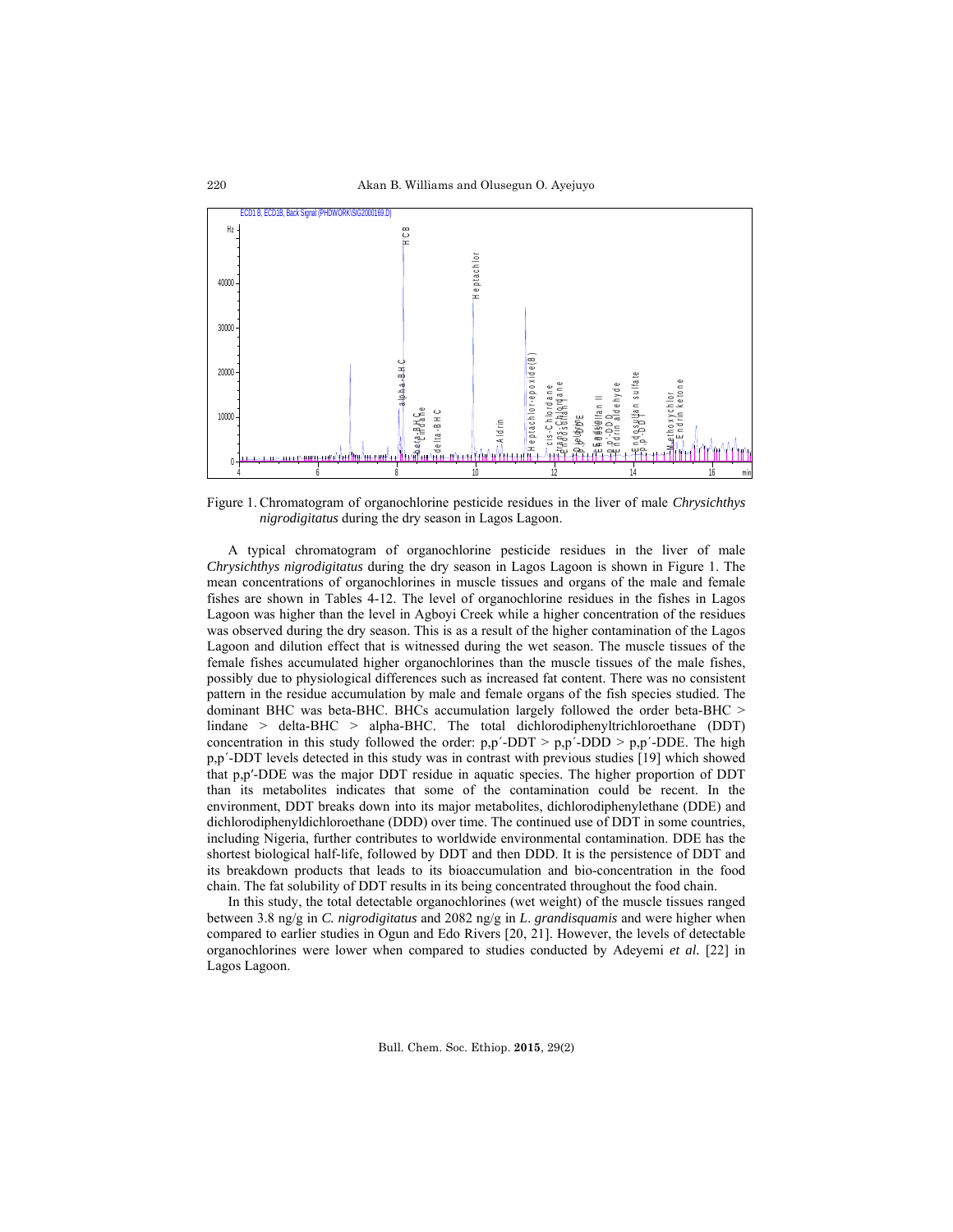

Figure 1. Chromatogram of organochlorine pesticide residues in the liver of male *Chrysichthys nigrodigitatus* during the dry season in Lagos Lagoon.

A typical chromatogram of organochlorine pesticide residues in the liver of male *Chrysichthys nigrodigitatus* during the dry season in Lagos Lagoon is shown in Figure 1. The mean concentrations of organochlorines in muscle tissues and organs of the male and female fishes are shown in Tables 4-12. The level of organochlorine residues in the fishes in Lagos Lagoon was higher than the level in Agboyi Creek while a higher concentration of the residues was observed during the dry season. This is as a result of the higher contamination of the Lagos Lagoon and dilution effect that is witnessed during the wet season. The muscle tissues of the female fishes accumulated higher organochlorines than the muscle tissues of the male fishes, possibly due to physiological differences such as increased fat content. There was no consistent pattern in the residue accumulation by male and female organs of the fish species studied. The dominant BHC was beta-BHC. BHCs accumulation largely followed the order beta-BHC > lindane > delta-BHC > alpha-BHC. The total dichlorodiphenyltrichloroethane (DDT) concentration in this study followed the order:  $p, p'$ -DDT >  $p, p'$ -DDD >  $p, p'$ -DDE. The high p,p´-DDT levels detected in this study was in contrast with previous studies [19] which showed that p,p′-DDE was the major DDT residue in aquatic species. The higher proportion of DDT than its metabolites indicates that some of the contamination could be recent. In the environment, DDT breaks down into its major metabolites, dichlorodiphenylethane (DDE) and dichlorodiphenyldichloroethane (DDD) over time. The continued use of DDT in some countries, including Nigeria, further contributes to worldwide environmental contamination. DDE has the shortest biological half-life, followed by DDT and then DDD. It is the persistence of DDT and its breakdown products that leads to its bioaccumulation and bio-concentration in the food chain. The fat solubility of DDT results in its being concentrated throughout the food chain.

In this study, the total detectable organochlorines (wet weight) of the muscle tissues ranged between 3.8 ng/g in *C. nigrodigitatus* and 2082 ng/g in *L*. *grandisquamis* and were higher when compared to earlier studies in Ogun and Edo Rivers [20, 21]. However, the levels of detectable organochlorines were lower when compared to studies conducted by Adeyemi *et al.* [22] in Lagos Lagoon.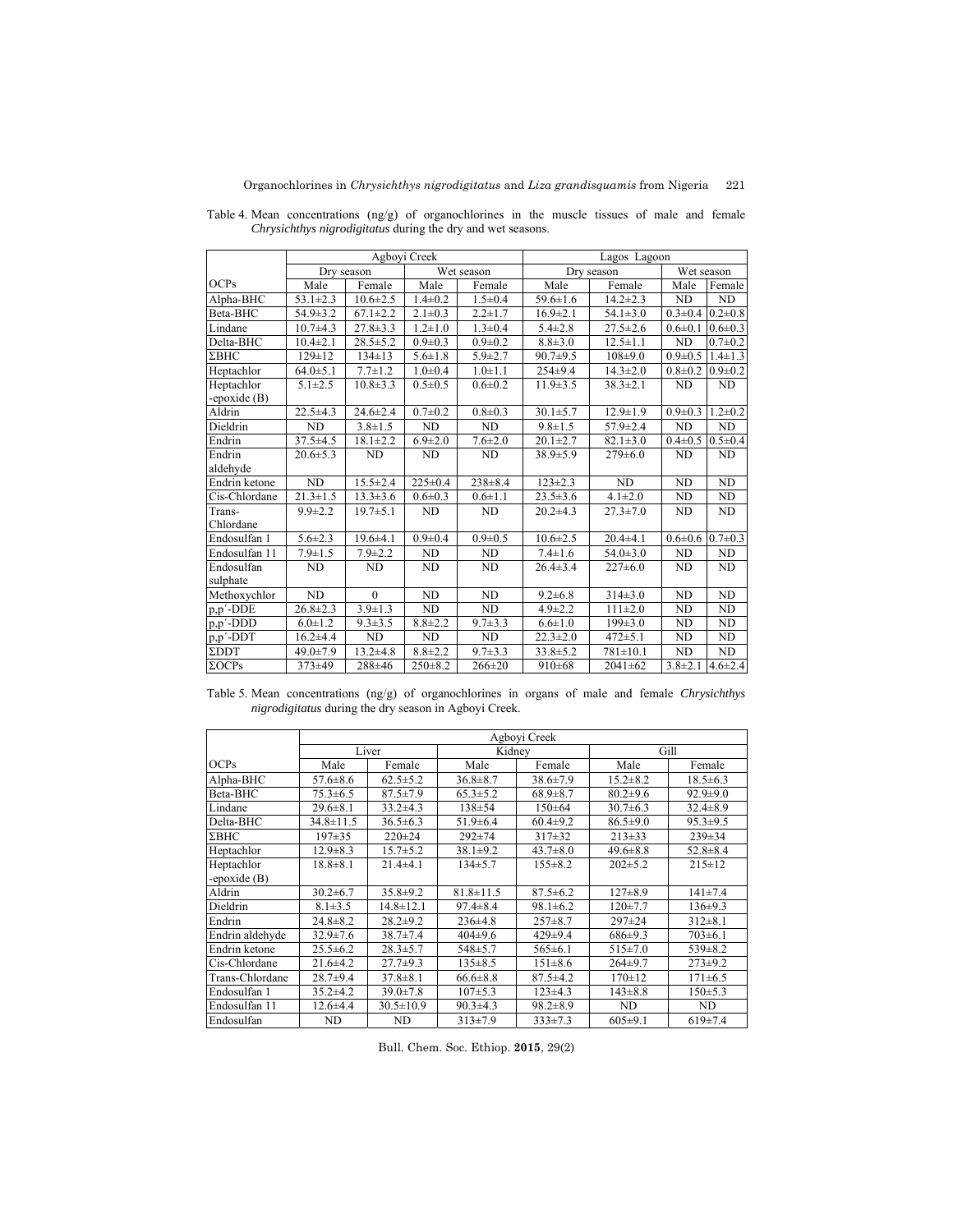|                |                | Agbovi Creek   |                |                | Lagos Lagoon   |                |                |                             |  |
|----------------|----------------|----------------|----------------|----------------|----------------|----------------|----------------|-----------------------------|--|
|                | Dry season     |                |                | Wet season     |                | Dry season     | Wet season     |                             |  |
| OCPs           | Male           | Female         | Male           | Female         | Male           | Female         | Male           | Female                      |  |
| Alpha-BHC      | $53.1 \pm 2.3$ | $10.6 \pm 2.5$ | $1.4 \pm 0.2$  | $1.5 \pm 0.4$  | $59.6 \pm 1.6$ | $14.2 \pm 2.3$ | ND             | ND                          |  |
| Beta-BHC       | $54.9 \pm 3.2$ | $67.1 \pm 2.2$ | $2.1 \pm 0.3$  | $2.2 \pm 1.7$  | $16.9 \pm 2.1$ | $54.1 \pm 3.0$ |                | $0.3 \pm 0.4$ 0.2 $\pm 0.8$ |  |
| Lindane        | $10.7 + 4.3$   | $27.8 \pm 3.3$ | $1.2 \pm 1.0$  | $1.3 \pm 0.4$  | $5.4 \pm 2.8$  | $27.5 \pm 2.6$ | $0.6 \pm 0.1$  | $0.6 \pm 0.3$               |  |
| Delta-BHC      | $10.4 \pm 2.1$ | $28.5 \pm 5.2$ | $0.9 \pm 0.3$  | $0.9 + 0.2$    | $8.8 \pm 3.0$  | $12.5 \pm 1.1$ | ND             | $0.7 \pm 0.2$               |  |
| $\Sigma$ BHC   | $129 \pm 12$   | $134 \pm 13$   | $5.6 \pm 1.8$  | $5.9 \pm 2.7$  | $90.7+9.5$     | $108+9.0$      | $0.9 \pm 0.5$  | $1.4 \pm 1.3$               |  |
| Heptachlor     | $64.0 \pm 5.1$ | $7.7 \pm 1.2$  | $1.0 + 0.4$    | $1.0 \pm 1.1$  | $254\pm9.4$    | $14.3 \pm 2.0$ | $0.8 \pm 0.2$  | $0.9 \pm 0.2$               |  |
| Heptachlor     | $5.1 \pm 2.5$  | $10.8 \pm 3.3$ | $0.5 \pm 0.5$  | $0.6 \pm 0.2$  | $11.9 \pm 3.5$ | $38.3 \pm 2.1$ | ND             | ND                          |  |
| -epoxide $(B)$ |                |                |                |                |                |                |                |                             |  |
| Aldrin         | $22.5 + 4.3$   | $24.6 \pm 2.4$ | $0.7 + 0.2$    | $0.8 + 0.3$    | $30.1 \pm 5.7$ | $12.9 \pm 1.9$ | $0.9 \pm 0.3$  | $1.2 \pm 0.2$               |  |
| Dieldrin       | <b>ND</b>      | $3.8 \pm 1.5$  | <b>ND</b>      | ND             | $9.8 \pm 1.5$  | $57.9 \pm 2.4$ | ND             | <b>ND</b>                   |  |
| Endrin         | $37.5 \pm 4.5$ | $18.1 \pm 2.2$ | $6.9 \pm 2.0$  | $7.6 \pm 2.0$  | $20.1 \pm 2.7$ | $82.1 \pm 3.0$ | $0.4 \pm 0.5$  | $0.5 \pm 0.4$               |  |
| Endrin         | $20.6 \pm 5.3$ | <b>ND</b>      | <b>ND</b>      | ND             | $38.9 \pm 5.9$ | $279 \pm 6.0$  | ND             | ND                          |  |
| aldehyde       |                |                |                |                |                |                |                |                             |  |
| Endrin ketone  | ND             | $15.5 \pm 2.4$ | $225 \pm 0.4$  | $238 + 8.4$    | $123 \pm 2.3$  | ND.            | ND             | ND                          |  |
| Cis-Chlordane  | $21.3 \pm 1.5$ | $13.3 \pm 3.6$ | $0.6 \pm 0.3$  | $0.6 \pm 1.1$  | $23.5 \pm 3.6$ | $4.1 \pm 2.0$  | N <sub>D</sub> | <b>ND</b>                   |  |
| Trans-         | $9.9 \pm 2.2$  | $19.7 \pm 5.1$ | <b>ND</b>      | ND             | $20.2 \pm 4.3$ | $27.3 \pm 7.0$ | ND             | ND                          |  |
| Chlordane      |                |                |                |                |                |                |                |                             |  |
| Endosulfan 1   | $5.6 \pm 2.3$  | $19.6 + 4.1$   | $0.9 + 0.4$    | $0.9 + 0.5$    | $10.6 \pm 2.5$ | $20.4 + 4.1$   |                | $0.6\pm0.6$ 0.7 $\pm0.3$    |  |
| Endosulfan 11  | $7.9 \pm 1.5$  | $7.9 \pm 2.2$  | N <sub>D</sub> | N <sub>D</sub> | $7.4 \pm 1.6$  | $54.0 \pm 3.0$ | N <sub>D</sub> | <b>ND</b>                   |  |
| Endosulfan     | <b>ND</b>      | <b>ND</b>      | ND             | ND             | $26.4 \pm 3.4$ | $227 \pm 6.0$  | ND             | ND                          |  |
| sulphate       |                |                |                |                |                |                |                |                             |  |
| Methoxychlor   | <b>ND</b>      | $\Omega$       | <b>ND</b>      | <b>ND</b>      | $9.2 \pm 6.8$  | $314\pm3.0$    | ND             | ND                          |  |
| p,p'-DDE       | $26.8 \pm 2.3$ | $3.9 \pm 1.3$  | ND             | ND             | $4.9 \pm 2.2$  | $111 \pm 2.0$  | N <sub>D</sub> | N <sub>D</sub>              |  |
| $p, p'$ -DDD   | $6.0 \pm 1.2$  | $9.3 \pm 3.5$  | $8.8 \pm 2.2$  | $9.7 \pm 3.3$  | $6.6 \pm 1.0$  | $199 \pm 3.0$  | ND             | <b>ND</b>                   |  |
| $p, p'$ -DDT   | $16.2{\pm}4.4$ | ND             | N <sub>D</sub> | N <sub>D</sub> | $22.3 \pm 2.0$ | $472 + 5.1$    | N <sub>D</sub> | ND                          |  |
| ΣDDT           | $49.0 \pm 7.9$ | $13.2 \pm 4.8$ | $8.8 \pm 2.2$  | $9.7 \pm 3.3$  | $33.8 \pm 5.2$ | $781 \pm 10.1$ | ND             | <b>ND</b>                   |  |
| $\Sigma OCPs$  | 373±49         | 288±46         | $250 \pm 8.2$  | $266 \pm 20$   | $910\pm 68$    | $2041 \pm 62$  | $3.8 \pm 2.1$  | $4.6 \pm 2.4$               |  |

Table 4. Mean concentrations (ng/g) of organochlorines in the muscle tissues of male and female *Chrysichthys nigrodigitatus* during the dry and wet seasons.

Table 5. Mean concentrations (ng/g) of organochlorines in organs of male and female *Chrysichthys nigrodigitatus* during the dry season in Agboyi Creek.

|                 |                 |                 |                 | Agboyi Creek   |                |                |
|-----------------|-----------------|-----------------|-----------------|----------------|----------------|----------------|
|                 |                 | Liver           | Kidney          |                | Gill           |                |
| <b>OCPs</b>     | Male            | Female          | Male            | Female         | Male           | Female         |
| Alpha-BHC       | $57.6 \pm 8.6$  | $62.5 \pm 5.2$  | $36.8 \pm 8.7$  | $38.6 \pm 7.9$ | $15.2 \pm 8.2$ | $18.5 \pm 6.3$ |
| Beta-BHC        | $75.3 \pm 6.5$  | $87.5 \pm 7.9$  | $65.3 \pm 5.2$  | $68.9 \pm 8.7$ | $80.2 \pm 9.6$ | $92.9 \pm 9.0$ |
| Lindane         | $29.6 \pm 8.1$  | $33.2 \pm 4.3$  | $138 + 54$      | $150 \pm 64$   | $30.7\pm 6.3$  | $32.4 \pm 8.9$ |
| Delta-BHC       | $34.8 \pm 11.5$ | $36.5 \pm 6.3$  | $51.9 \pm 6.4$  | $60.4 \pm 9.2$ | $86.5 \pm 9.0$ | $95.3 \pm 9.5$ |
| $\Sigma$ BHC    | $197 + 35$      | $220 \pm 24$    | $292 + 74$      | $317 + 32$     | $213 \pm 33$   | $239 \pm 34$   |
| Heptachlor      | $12.9 \pm 8.3$  | $15.7 \pm 5.2$  | $38.1 \pm 9.2$  | $43.7 \pm 8.0$ | $49.6 \pm 8.8$ | $52.8 \pm 8.4$ |
| Heptachlor      | $18.8 \pm 8.1$  | $21.4 + 4.1$    | $134+5.7$       | $155 \pm 8.2$  | $202 \pm 5.2$  | $215 \pm 12$   |
| -epoxide $(B)$  |                 |                 |                 |                |                |                |
| Aldrin          | $30.2 \pm 6.7$  | $35.8 \pm 9.2$  | $81.8 \pm 11.5$ | $87.5 \pm 6.2$ | $127 \pm 8.9$  | $141\pm7.4$    |
| Dieldrin        | $8.1 \pm 3.5$   | $14.8 \pm 12.1$ | $97.4 \pm 8.4$  | $98.1 \pm 6.2$ | $120+7.7$      | $136 \pm 9.3$  |
| Endrin          | $24.8 \pm 8.2$  | $28.2+9.2$      | $236 \pm 4.8$   | $257 \pm 8.7$  | $297 + 24$     | $312 \pm 8.1$  |
| Endrin aldehyde | $32.9 \pm 7.6$  | $38.7 \pm 7.4$  | $404\pm9.6$     | $429 \pm 9.4$  | 686±9.3        | $703 \pm 6.1$  |
| Endrin ketone   | $25.5 \pm 6.2$  | $28.3 \pm 5.7$  | $548 \pm 5.7$   | $565 \pm 6.1$  | $515 \pm 7.0$  | $539 \pm 8.2$  |
| Cis-Chlordane   | $21.6 \pm 4.2$  | $27.7 \pm 9.3$  | $135 \pm 8.5$   | $151 \pm 8.6$  | $264+9.7$      | $273 \pm 9.2$  |
| Trans-Chlordane | $28.7 + 9.4$    | $37.8 \pm 8.1$  | $66.6 \pm 8.8$  | $87.5 \pm 4.2$ | $170 \pm 12$   | $171 \pm 6.5$  |
| Endosulfan 1    | $35.2 \pm 4.2$  | $39.0 \pm 7.8$  | $107\pm5.3$     | $123 \pm 4.3$  | $143 \pm 8.8$  | $150+5.3$      |
| Endosulfan 11   | $12.6 + 4.4$    | $30.5 \pm 10.9$ | $90.3 \pm 4.3$  | $98.2 \pm 8.9$ | <b>ND</b>      | <b>ND</b>      |
| Endosulfan      | ND              | ND              | $313\pm7.9$     | $333\pm7.3$    | $605 \pm 9.1$  | $619\pm7.4$    |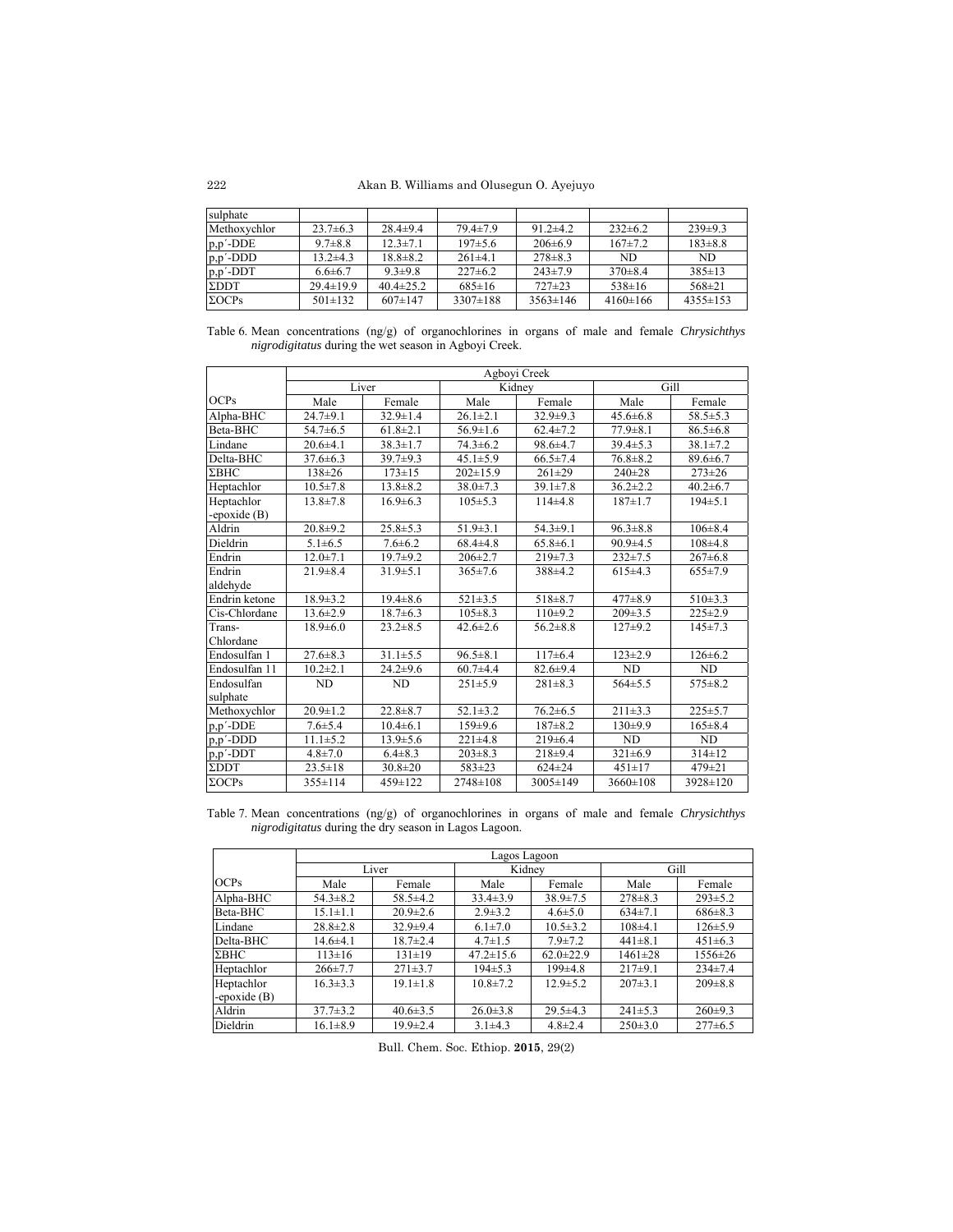Akan B. Williams and Olusegun O. Ayejuyo

| sulphate      |                 |                 |                |                |               |                |
|---------------|-----------------|-----------------|----------------|----------------|---------------|----------------|
| Methoxychlor  | $23.7\pm 6.3$   | $28.4 \pm 9.4$  | $79.4 \pm 7.9$ | $91.2 \pm 4.2$ | $232 \pm 6.2$ | $239\pm9.3$    |
| $p, p'$ -DDE  | $9.7 \pm 8.8$   | $12.3 \pm 7.1$  | $197+5.6$      | $206\pm6.9$    | $167 \pm 7.2$ | $183 \pm 8.8$  |
| $p, p'$ -DDD  | $13.2 \pm 4.3$  | $18.8 \pm 8.2$  | $261\pm4.1$    | $278 \pm 8.3$  | ND            | ND.            |
| $p, p'$ -DDT  | $6.6 \pm 6.7$   | $9.3 \pm 9.8$   | $227\pm 6.2$   | $243 \pm 7.9$  | $370 \pm 8.4$ | $385 \pm 13$   |
| $\Sigma$ DDT  | $29.4 \pm 19.9$ | $40.4 \pm 25.2$ | $685 \pm 16$   | $727 \pm 23$   | $538 \pm 16$  | $568 \pm 21$   |
| $\Sigma OCPs$ | $501 \pm 132$   | $607 \pm 147$   | $3307 \pm 188$ | $3563 \pm 146$ | $4160\pm166$  | $4355 \pm 153$ |

Table 6. Mean concentrations (ng/g) of organochlorines in organs of male and female *Chrysichthys nigrodigitatus* during the wet season in Agboyi Creek.

|               | Agboyi Creek   |                |                |                |                |                |  |  |  |
|---------------|----------------|----------------|----------------|----------------|----------------|----------------|--|--|--|
|               |                | Liver          |                | Kidnev         |                | Gill           |  |  |  |
| OCPs          | Male           | Female         | Male           | Female         | Male           | Female         |  |  |  |
| Alpha-BHC     | $24.7 + 9.1$   | $32.9 \pm 1.4$ | $26.1 \pm 2.1$ | $32.9 + 9.3$   | $45.6 \pm 6.8$ | $58.5 \pm 5.3$ |  |  |  |
| Beta-BHC      | $54.7\pm 6.5$  | $61.8 \pm 2.1$ | $56.9 \pm 1.6$ | $62.4 \pm 7.2$ | $77.9 \pm 8.1$ | $86.5 \pm 6.8$ |  |  |  |
| Lindane       | $20.6 + 4.1$   | $38.3 \pm 1.7$ | $74.3 \pm 6.2$ | $98.6 \pm 4.7$ | $39.4 \pm 5.3$ | $38.1 \pm 7.2$ |  |  |  |
| Delta-BHC     | $37.6 \pm 6.3$ | $39.7 \pm 9.3$ | $45.1 \pm 5.9$ | $66.5 \pm 7.4$ | $76.8 \pm 8.2$ | $89.6 \pm 6.7$ |  |  |  |
| $\Sigma$ BHC  | $138 + 26$     | $173 \pm 15$   | $202 \pm 15.9$ | $261 + 29$     | $240+28$       | $273 \pm 26$   |  |  |  |
| Heptachlor    | $10.5 \pm 7.8$ | $13.8 \pm 8.2$ | $38.0 \pm 7.3$ | $39.1 \pm 7.8$ | $36.2 \pm 2.2$ | $40.2 \pm 6.7$ |  |  |  |
| Heptachlor    | $13.8 \pm 7.8$ | $16.9 \pm 6.3$ | $105 \pm 5.3$  | $114\pm4.8$    | $187 \pm 1.7$  | $194 \pm 5.1$  |  |  |  |
| -epoxide (B)  |                |                |                |                |                |                |  |  |  |
| Aldrin        | $20.8 + 9.2$   | $25.8 \pm 5.3$ | $51.9 \pm 3.1$ | $54.3 \pm 9.1$ | $96.3 \pm 8.8$ | $106 \pm 8.4$  |  |  |  |
| Dieldrin      | $5.1 \pm 6.5$  | $7.6 \pm 6.2$  | $68.4 \pm 4.8$ | $65.8 \pm 6.1$ | $90.9 \pm 4.5$ | $108 + 4.8$    |  |  |  |
| Endrin        | $12.0 \pm 7.1$ | $19.7+9.2$     | $206 \pm 2.7$  | $219\pm7.3$    | $232 \pm 7.5$  | $267 \pm 6.8$  |  |  |  |
| Endrin        | $21.9 \pm 8.4$ | $31.9 \pm 5.1$ | $365 \pm 7.6$  | $388+4.2$      | $615\pm4.3$    | $655 \pm 7.9$  |  |  |  |
| aldehyde      |                |                |                |                |                |                |  |  |  |
| Endrin ketone | $18.9 \pm 3.2$ | $19.4 \pm 8.6$ | $521 \pm 3.5$  | $518 + 8.7$    | $477 + 8.9$    | $510 \pm 3.3$  |  |  |  |
| Cis-Chlordane | $13.6 \pm 2.9$ | $18.7 \pm 6.3$ | $105 \pm 8.3$  | $110+9.2$      | $209 \pm 3.5$  | $225 \pm 2.9$  |  |  |  |
| Trans-        | $18.9 \pm 6.0$ | $23.2 \pm 8.5$ | $42.6 \pm 2.6$ | $56.2 \pm 8.8$ | $127+9.2$      | $145 \pm 7.3$  |  |  |  |
| Chlordane     |                |                |                |                |                |                |  |  |  |
| Endosulfan 1  | $27.6 \pm 8.3$ | $31.1 \pm 5.5$ | $96.5 \pm 8.1$ | $117+6.4$      | $123 \pm 2.9$  | $126 \pm 6.2$  |  |  |  |
| Endosulfan 11 | $10.2 \pm 2.1$ | $24.2 \pm 9.6$ | $60.7 + 4.4$   | $82.6 \pm 9.4$ | N <sub>D</sub> | ND.            |  |  |  |
| Endosulfan    | <b>ND</b>      | ND             | $251\pm5.9$    | $281 \pm 8.3$  | $564\pm5.5$    | $575 \pm 8.2$  |  |  |  |
| sulphate      |                |                |                |                |                |                |  |  |  |
| Methoxychlor  | $20.9 \pm 1.2$ | $22.8 \pm 8.7$ | $52.1 \pm 3.2$ | $76.2 \pm 6.5$ | $211\pm3.3$    | $225 \pm 5.7$  |  |  |  |
| p,p'-DDE      | $7.6 + 5.4$    | $10.4 \pm 6.1$ | $159+9.6$      | $187 + 8.2$    | $130+9.9$      | $165 \pm 8.4$  |  |  |  |
| p,p'-DDD      | $11.1 \pm 5.2$ | $13.9 \pm 5.6$ | $221 \pm 4.8$  | $219 \pm 6.4$  | ND.            | ND             |  |  |  |
| p,p'-DDT      | $4.8 \pm 7.0$  | $6.4 \pm 8.3$  | $203 \pm 8.3$  | 218±9.4        | $321 \pm 6.9$  | $314 \pm 12$   |  |  |  |
| $\Sigma$ DDT  | $23.5 \pm 18$  | $30.8 \pm 20$  | 583±23         | $624 \pm 24$   | $451 \pm 17$   | 479±21         |  |  |  |
| $\Sigma OCPs$ | $355 \pm 114$  | 459±122        | 2748±108       | 3005±149       | $3660 \pm 108$ | 3928±120       |  |  |  |

Table 7. Mean concentrations (ng/g) of organochlorines in organs of male and female *Chrysichthys nigrodigitatus* during the dry season in Lagos Lagoon.

|                |                                  |                | Lagos Lagoon    |                 |               |               |  |
|----------------|----------------------------------|----------------|-----------------|-----------------|---------------|---------------|--|
|                |                                  | Liver          | Kidney          |                 | Gill          |               |  |
| <b>OCPs</b>    | Male<br>Female                   |                | Male            | Female          | Male          | Female        |  |
| Alpha-BHC      | $54.3 \pm 8.2$                   | $58.5 \pm 4.2$ | $33.4 \pm 3.9$  | $38.9 \pm 7.5$  | $278 \pm 8.3$ | $293 \pm 5.2$ |  |
| Beta-BHC       | $15.1 \pm 1.1$                   | $20.9 \pm 2.6$ | $2.9 \pm 3.2$   | $4.6 \pm 5.0$   | $634\pm7.1$   | $686 \pm 8.3$ |  |
| Lindane        | $28.8 \pm 2.8$                   | $32.9 \pm 9.4$ | $6.1 \pm 7.0$   | $10.5 \pm 3.2$  | $108\pm4.1$   | $126 \pm 5.9$ |  |
| Delta-BHC      | $18.7 \pm 2.4$<br>$14.6 \pm 4.1$ |                | $4.7 \pm 1.5$   | $7.9 \pm 7.2$   | $441 \pm 8.1$ | $451\pm6.3$   |  |
| $\Sigma$ BHC   | $113 \pm 16$                     | $131 \pm 19$   | $47.2 \pm 15.6$ | $62.0 \pm 22.9$ | $1461 \pm 28$ | 1556±26       |  |
| Heptachlor     | $266 \pm 7.7$                    | $271\pm3.7$    | $194\pm 5.3$    | 199±4.8         | $217+9.1$     | $234\pm7.4$   |  |
| Heptachlor     | $16.3 \pm 3.3$                   | $19.1 \pm 1.8$ | $10.8 \pm 7.2$  | $12.9 \pm 5.2$  | $207\pm3.1$   | $209 \pm 8.8$ |  |
| -epoxide $(B)$ |                                  |                |                 |                 |               |               |  |
| Aldrin         | $37.7 \pm 3.2$                   | $40.6 \pm 3.5$ | $26.0 \pm 3.8$  | $29.5 \pm 4.3$  | $241\pm5.3$   | $260\pm9.3$   |  |
| Dieldrin       | $16.1 \pm 8.9$                   | $19.9 \pm 2.4$ | $3.1\pm4.3$     | $4.8 \pm 2.4$   | $250\pm3.0$   | $277 \pm 6.5$ |  |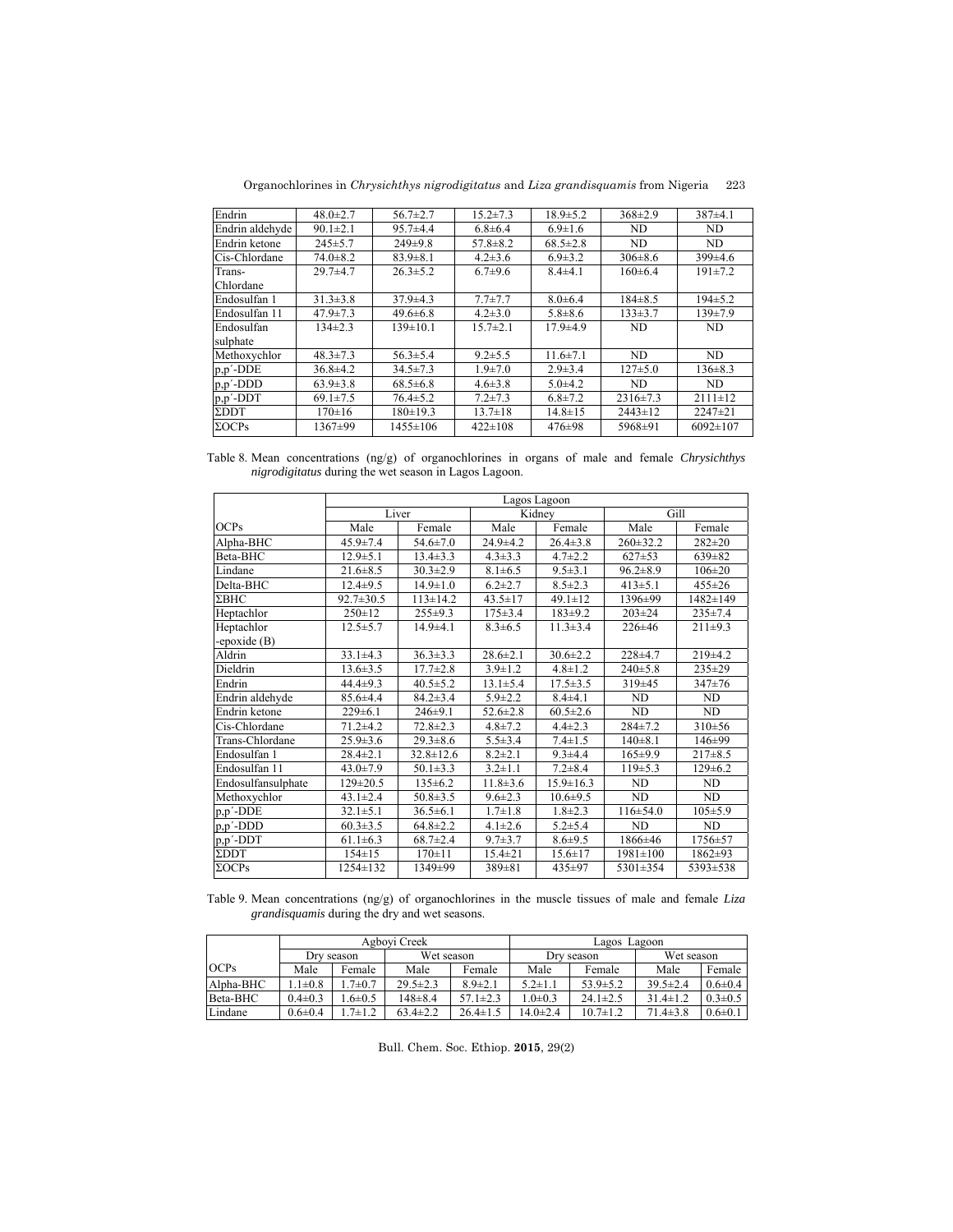Organochlorines in *Chrysichthys nigrodigitatus* and *Liza grandisquamis* from Nigeria 223

| Endrin                     | $48.0 \pm 2.7$ | $56.7 \pm 2.7$ | $15.2 \pm 7.3$ | $18.9 \pm 5.2$ | $368 \pm 2.9$  | $387+4.1$      |
|----------------------------|----------------|----------------|----------------|----------------|----------------|----------------|
| Endrin aldehyde            | $90.1 \pm 2.1$ | $95.7 + 4.4$   | $6.8 \pm 6.4$  | $6.9 \pm 1.6$  | ND             | <b>ND</b>      |
| Endrin ketone              | $245 \pm 5.7$  | $249\pm9.8$    | $57.8 \pm 8.2$ | $68.5 \pm 2.8$ | <b>ND</b>      | ND             |
| Cis-Chlordane              | $74.0 \pm 8.2$ | $83.9 \pm 8.1$ | $4.2 \pm 3.6$  | $6.9 \pm 3.2$  | $306 \pm 8.6$  | $399\pm4.6$    |
| Trans-                     | $29.7 + 4.7$   | $26.3 \pm 5.2$ | $6.7 + 9.6$    | $8.4 \pm 4.1$  | $160 \pm 6.4$  | $191 \pm 7.2$  |
| Chlordane                  |                |                |                |                |                |                |
| Endosulfan 1               | $31.3 \pm 3.8$ | $37.9 \pm 4.3$ | $7.7 \pm 7.7$  | $8.0 \pm 6.4$  | $184 \pm 8.5$  | $194\pm 5.2$   |
| Endosulfan 11              | $47.9 \pm 7.3$ | $49.6 \pm 6.8$ | $4.2 \pm 3.0$  | $5.8 \pm 8.6$  | $133\pm3.7$    | $139 \pm 7.9$  |
| Endosulfan                 | $134\pm2.3$    | $139 \pm 10.1$ | $15.7 \pm 2.1$ | $17.9 + 4.9$   | ND             | ND             |
| sulphate                   |                |                |                |                |                |                |
| Methoxychlor               | $48.3 \pm 7.3$ | $56.3 \pm 5.4$ | $9.2 \pm 5.5$  | $11.6 \pm 7.1$ | ND             | <b>ND</b>      |
| $p, p'$ - $\overline{DDE}$ | $36.8 \pm 4.2$ | $34.5 \pm 7.3$ | $1.9 \pm 7.0$  | $2.9 \pm 3.4$  | $127 \pm 5.0$  | $136 \pm 8.3$  |
| $p, p'$ -DDD               | $63.9 \pm 3.8$ | $68.5 \pm 6.8$ | $4.6 \pm 3.8$  | $5.0 + 4.2$    | ND             | <b>ND</b>      |
| $p, p'$ -DDT               | $69.1 \pm 7.5$ | $76.4 \pm 5.2$ | $7.2 \pm 7.3$  | $6.8 \pm 7.2$  | $2316 \pm 7.3$ | $2111 \pm 12$  |
| $\Sigma$ DDT               | $170 \pm 16$   | 180±19.3       | $13.7 \pm 18$  | $14.8 \pm 15$  | $2443 \pm 12$  | $2247 \pm 21$  |
| $\Sigma OCPs$              | 1367±99        | $1455 \pm 106$ | $422 \pm 108$  | $476 \pm 98$   | 5968±91        | $6092 \pm 107$ |
|                            |                |                |                |                |                |                |

Table 8. Mean concentrations (ng/g) of organochlorines in organs of male and female *Chrysichthys nigrodigitatus* during the wet season in Lagos Lagoon.

|                    | Lagos Lagoon    |                 |                |                 |                |               |  |  |  |  |
|--------------------|-----------------|-----------------|----------------|-----------------|----------------|---------------|--|--|--|--|
|                    |                 | Liver           |                | Kidney          |                | Gill          |  |  |  |  |
| <b>OCPs</b>        | Male            | Female          | Male           | Female          | Male           | Female        |  |  |  |  |
| Alpha-BHC          | $45.9 \pm 7.4$  | $54.6 \pm 7.0$  | $24.9 \pm 4.2$ | $26.4 \pm 3.8$  | $260 \pm 32.2$ | $282 \pm 20$  |  |  |  |  |
| Beta-BHC           | $12.9 \pm 5.1$  | $13.4 \pm 3.3$  | $4.3 \pm 3.3$  | $4.7 \pm 2.2$   | $627+53$       | $639 \pm 82$  |  |  |  |  |
| Lindane            | $21.6 \pm 8.5$  | $30.3 \pm 2.9$  | $8.1 \pm 6.5$  | $9.5 \pm 3.1$   | $96.2 \pm 8.9$ | $106 \pm 20$  |  |  |  |  |
| Delta-BHC          | $12.4 \pm 9.5$  | $14.9 \pm 1.0$  | $6.2 \pm 2.7$  | $8.5 \pm 2.3$   | $413 \pm 5.1$  | $455 \pm 26$  |  |  |  |  |
| $\Sigma$ BHC       | $92.7 \pm 30.5$ | $113 \pm 14.2$  | $43.5 \pm 17$  | $49.1 \pm 12$   | 1396±99        | 1482±149      |  |  |  |  |
| Heptachlor         | $250 \pm 12$    | $255 \pm 9.3$   | $175 \pm 3.4$  | $183+9.2$       | $203 \pm 24$   | $235 \pm 7.4$ |  |  |  |  |
| Heptachlor         | $12.5 \pm 5.7$  | $14.9 + 4.1$    | $8.3 \pm 6.5$  | $11.3 \pm 3.4$  | $226 \pm 46$   | $211 \pm 9.3$ |  |  |  |  |
| -epoxide (B)       |                 |                 |                |                 |                |               |  |  |  |  |
| Aldrin             | $33.1 \pm 4.3$  | $36.3 \pm 3.3$  | $28.6 \pm 2.1$ | $30.6 \pm 2.2$  | $228+4.7$      | $219\pm4.2$   |  |  |  |  |
| Dieldrin           | $13.6 \pm 3.5$  | $17.7 \pm 2.8$  | $3.9 \pm 1.2$  | $4.8 \pm 1.2$   | $240+5.8$      | 235±29        |  |  |  |  |
| Endrin             | $44.4 \pm 9.3$  | $40.5 \pm 5.2$  | $13.1 \pm 5.4$ | $17.5 \pm 3.5$  | 319±45         | $347+76$      |  |  |  |  |
| Endrin aldehyde    | $85.6 \pm 4.4$  | $84.2 \pm 3.4$  | $5.9 \pm 2.2$  | $8.4 \pm 4.1$   | <b>ND</b>      | <b>ND</b>     |  |  |  |  |
| Endrin ketone      | $229 \pm 6.1$   | $246 \pm 9.1$   | $52.6 \pm 2.8$ | $60.5 \pm 2.6$  | ND             | ND            |  |  |  |  |
| Cis-Chlordane      | $71.2 + 4.2$    | $72.8 \pm 2.3$  | $4.8 \pm 7.2$  | $4.4 \pm 2.3$   | $284 + 7.2$    | $310+56$      |  |  |  |  |
| Trans-Chlordane    | $25.9 \pm 3.6$  | $29.3 \pm 8.6$  | $5.5 \pm 3.4$  | $7.4 \pm 1.5$   | $140 + 8.1$    | 146±99        |  |  |  |  |
| Endosulfan 1       | $28.4 \pm 2.1$  | $32.8 \pm 12.6$ | $8.2 \pm 2.1$  | $9.3 + 4.4$     | 165±9.9        | $217\pm8.5$   |  |  |  |  |
| Endosulfan 11      | $43.0 \pm 7.9$  | $50.1 \pm 3.3$  | $3.2 \pm 1.1$  | $7.2 \pm 8.4$   | $119+5.3$      | $129 \pm 6.2$ |  |  |  |  |
| Endosulfansulphate | $129 \pm 20.5$  | $135 \pm 6.2$   | $11.8 \pm 3.6$ | $15.9 \pm 16.3$ | <b>ND</b>      | <b>ND</b>     |  |  |  |  |
| Methoxychlor       | $43.1 \pm 2.4$  | $50.8 \pm 3.5$  | $9.6 \pm 2.3$  | $10.6 \pm 9.5$  | ND             | ND            |  |  |  |  |
| p,p'-DDE           | $32.1 \pm 5.1$  | $36.5 \pm 6.1$  | $1.7 \pm 1.8$  | $1.8 \pm 2.3$   | $116 \pm 54.0$ | $105 \pm 5.9$ |  |  |  |  |
| p,p'-DDD           | $60.3 \pm 3.5$  | $64.8 \pm 2.2$  | $4.1 \pm 2.6$  | $5.2 \pm 5.4$   | <b>ND</b>      | <b>ND</b>     |  |  |  |  |
| p,p'-DDT           | $61.1 \pm 6.3$  | $68.7 \pm 2.4$  | $9.7 \pm 3.7$  | $8.6 + 9.5$     | 1866±46        | 1756±57       |  |  |  |  |
| <b>EDDT</b>        | $154 \pm 15$    | $170 \pm 11$    | $15.4 \pm 21$  | $15.6 \pm 17$   | $1981 \pm 100$ | 1862±93       |  |  |  |  |
| $\Sigma OCPs$      | 1254±132        | 1349±99         | $389 \pm 81$   | 435±97          | 5301±354       | 5393±538      |  |  |  |  |

Table 9. Mean concentrations (ng/g) of organochlorines in the muscle tissues of male and female *Liza grandisquamis* during the dry and wet seasons.

|             |               |              | Agbovi Creek   |                | Lagoon<br>Lagos |                |                |               |  |
|-------------|---------------|--------------|----------------|----------------|-----------------|----------------|----------------|---------------|--|
|             |               | Dry season   | Wet season     |                |                 | Dry season     | Wet season     |               |  |
| <b>OCPs</b> | Male          | Female       | Male           | Female         | Male            | Female         | Male           | Female        |  |
| Alpha-BHC   | $1\pm0.8$     | $.7 \pm 0.7$ | $29.5 \pm 2.3$ | $8.9 \pm 2.1$  | $5.2 \pm 1.1$   | $53.9 \pm 5.2$ | $39.5 \pm 2.4$ | $0.6 \pm 0.4$ |  |
| Beta-BHC    | $0.4 \pm 0.3$ | $6\pm 0.5$   | $148 + 8.4$    | $57.1 \pm 2.3$ | $.0 \pm 0.3$    | $24.1 \pm 2.5$ | $31.4 \pm 1.2$ | $0.3 \pm 0.5$ |  |
| Lindane     | $0.6 \pm 0.4$ | $.7 \pm 1.2$ | $63.4 \pm 2.2$ | $26.4 \pm 1.5$ | $14.0 \pm 2.4$  | $10.7 \pm 1.2$ | $71.4 \pm 3.8$ | $0.6 \pm 0.1$ |  |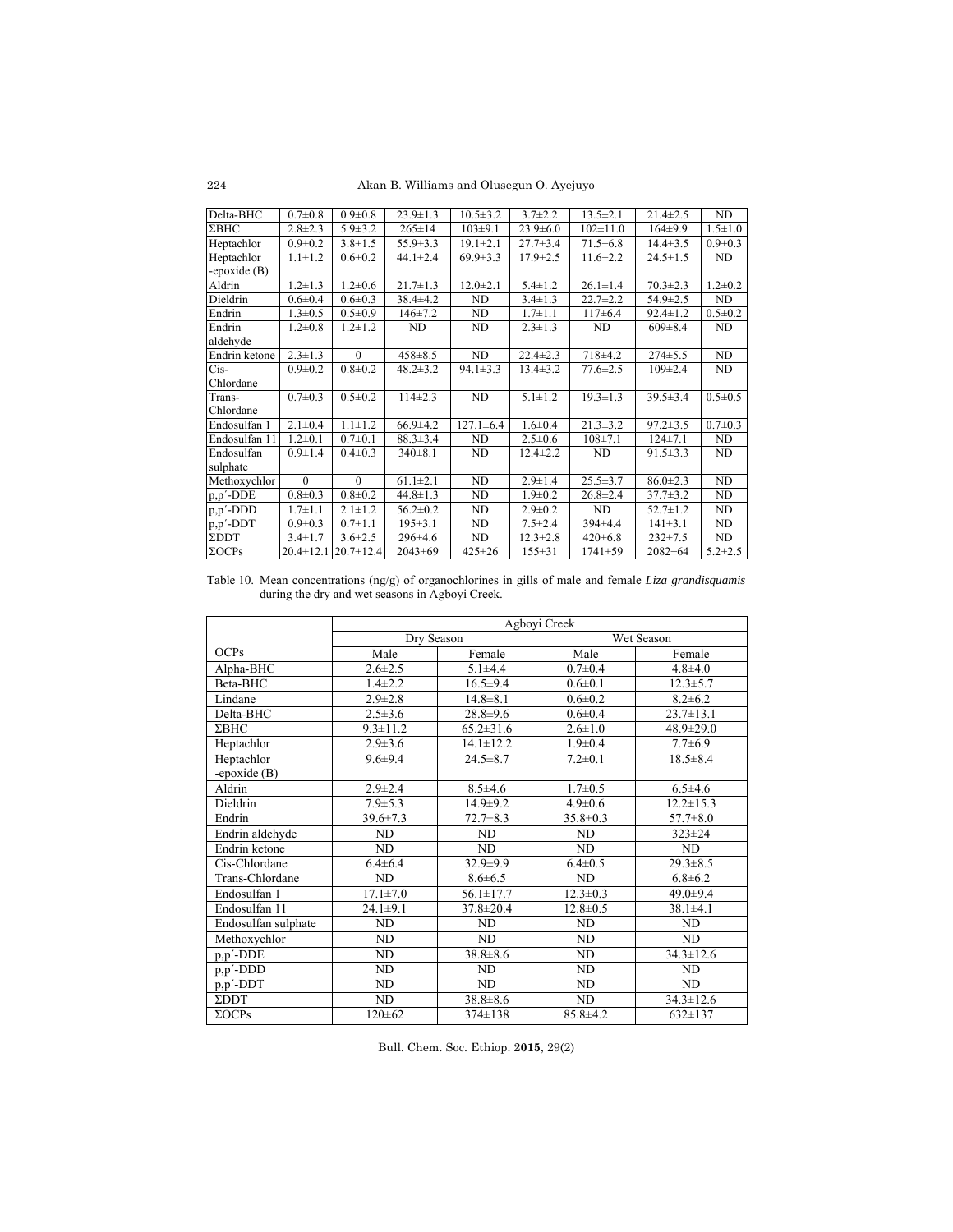Akan B. Williams and Olusegun O. Ayejuyo

| Delta-BHC                    | $0.7 + 0.8$     | $0.9 \pm 0.8$   | $23.9 \pm 1.3$ | $10.5 \pm 3.2$  | $3.7 \pm 2.2$  | $13.5 \pm 2.1$ | $21.4 \pm 2.5$ | ND            |
|------------------------------|-----------------|-----------------|----------------|-----------------|----------------|----------------|----------------|---------------|
| $\Sigma$ BHC                 | $2.8 \pm 2.3$   | $5.9 \pm 3.2$   | $265 \pm 14$   | $103 \pm 9.1$   | $23.9 \pm 6.0$ | $102 \pm 11.0$ | $164\pm9.9$    | $1.5 \pm 1.0$ |
| Heptachlor                   | $0.9 + 0.2$     | $3.8 \pm 1.5$   | $55.9 \pm 3.3$ | $19.1 \pm 2.1$  | $27.7 \pm 3.4$ | $71.5 \pm 6.8$ | $14.4 \pm 3.5$ | $0.9 \pm 0.3$ |
| Heptachlor                   | $1.1 \pm 1.2$   | $0.6 \pm 0.2$   | $44.1 \pm 2.4$ | $69.9 \pm 3.3$  | $17.9 \pm 2.5$ | $11.6 \pm 2.2$ | $24.5 \pm 1.5$ | ND            |
| -epoxide $(B)$               |                 |                 |                |                 |                |                |                |               |
| Aldrin                       | $1.2 \pm 1.3$   | $1.2 \pm 0.6$   | $21.7 \pm 1.3$ | $12.0 \pm 2.1$  | $5.4 \pm 1.2$  | $26.1 \pm 1.4$ | $70.3 \pm 2.3$ | $1.2 \pm 0.2$ |
| Dieldrin                     | $0.6 + 0.4$     | $0.6 \pm 0.3$   | $38.4 \pm 4.2$ | ND              | $3.4 \pm 1.3$  | $22.7 \pm 2.2$ | $54.9 \pm 2.5$ | ND            |
| Endrin                       | $1.3 \pm 0.5$   | $0.5 \pm 0.9$   | $146 \pm 7.2$  | ND              | $1.7 \pm 1.1$  | $117\pm 6.4$   | $92.4 \pm 1.2$ | $0.5 \pm 0.2$ |
| Endrin                       | $1.2 \pm 0.8$   | $1.2 \pm 1.2$   | ND             | ND              | $2.3 \pm 1.3$  | ND             | $609 \pm 8.4$  | ND            |
| aldehyde                     |                 |                 |                |                 |                |                |                |               |
| Endrin ketone                | $2.3 \pm 1.3$   | $\theta$        | $458 \pm 8.5$  | ND              | $22.4 \pm 2.3$ | 718±4.2        | $274 \pm 5.5$  | ND            |
| $Cis-$                       | $0.9 \pm 0.2$   | $0.8 + 0.2$     | $48.2 \pm 3.2$ | $94.1 \pm 3.3$  | $13.4 \pm 3.2$ | $77.6 \pm 2.5$ | $109 \pm 2.4$  | ND            |
| Chlordane                    |                 |                 |                |                 |                |                |                |               |
| Trans-                       | $0.7 \pm 0.3$   | $0.5 \pm 0.2$   | $114\pm 2.3$   | <b>ND</b>       | $5.1 \pm 1.2$  | $19.3 \pm 1.3$ | $39.5 \pm 3.4$ | $0.5 \pm 0.5$ |
| Chlordane                    |                 |                 |                |                 |                |                |                |               |
| Endosulfan 1                 | $2.1 \pm 0.4$   | $1.1 \pm 1.2$   | $66.9{\pm}4.2$ | $127.1 \pm 6.4$ | $1.6 \pm 0.4$  | $21.3 \pm 3.2$ | $97.2 \pm 3.5$ | $0.7 \pm 0.3$ |
| Endosulfan 11                | $1.2 \pm 0.1$   | $0.7 \pm 0.1$   | $88.3 \pm 3.4$ | ND              | $2.5 \pm 0.6$  | $108 \pm 7.1$  | $124 \pm 7.1$  | ND            |
| Endosulfan                   | $0.9 \pm 1.4$   | $0.4 \pm 0.3$   | $340\pm8.1$    | <b>ND</b>       | $12.4 \pm 2.2$ | ND             | $91.5 \pm 3.3$ | ND            |
| sulphate                     |                 |                 |                |                 |                |                |                |               |
| Methoxychlor                 | $\theta$        | $\theta$        | $61.1 \pm 2.1$ | ND              | $2.9 \pm 1.4$  | $25.5 \pm 3.7$ | $86.0 \pm 2.3$ | ND            |
| $p, p'$ -DDE                 | $0.8 + 0.3$     | $0.8 + 0.2$     | $44.8 \pm 1.3$ | ND              | $1.9 \pm 0.2$  | $26.8 \pm 2.4$ | $37.7 \pm 3.2$ | ND            |
| p,p'-DDD                     | $1.7 \pm 1.1$   | $2.1 \pm 1.2$   | $56.2 \pm 0.2$ | ND              | $2.9 \pm 0.2$  | ND             | $52.7 \pm 1.2$ | ND            |
| $\overrightarrow{p,p'}$ -DDT | $0.9 \pm 0.3$   | $0.7 \pm 1.1$   | $195 \pm 3.1$  | ND              | $7.5 \pm 2.4$  | $394\pm4.4$    | $141 \pm 3.1$  | ND            |
| $\Sigma\text{DDT}$           | $3.4 \pm 1.7$   | $3.6 \pm 2.5$   | $296 \pm 4.6$  | ND              | $12.3 \pm 2.8$ | $420 \pm 6.8$  | $232 \pm 7.5$  | ND            |
| $\Sigma OCPs$                | $20.4 \pm 12.1$ | $20.7 \pm 12.4$ | $2043 \pm 69$  | $425 \pm 26$    | $155 \pm 31$   | $1741 + 59$    | $2082 + 64$    | $5.2 \pm 2.5$ |

Table 10. Mean concentrations (ng/g) of organochlorines in gills of male and female *Liza grandisquamis* during the dry and wet seasons in Agboyi Creek.

|                     | Agboyi Creek   |                 |                |                 |  |  |  |
|---------------------|----------------|-----------------|----------------|-----------------|--|--|--|
|                     | Dry Season     |                 | Wet Season     |                 |  |  |  |
| <b>OCPs</b>         | Male           | Female          | Male           | Female          |  |  |  |
| Alpha-BHC           | $2.6 \pm 2.5$  | $5.1 + 4.4$     | $0.7 \pm 0.4$  | $4.8 + 4.0$     |  |  |  |
| Beta-BHC            | $1.4 \pm 2.2$  | $16.5 \pm 9.4$  | $0.6 \pm 0.1$  | $12.3 \pm 5.7$  |  |  |  |
| Lindane             | $2.9 \pm 2.8$  | $14.8 \pm 8.1$  | $0.6 \pm 0.2$  | $8.2 \pm 6.2$   |  |  |  |
| Delta-BHC           | $2.5 \pm 3.6$  | $28.8 + 9.6$    | $0.6 \pm 0.4$  | $23.7 \pm 13.1$ |  |  |  |
| $\Sigma$ BHC        | $9.3 \pm 11.2$ | $65.2 \pm 31.6$ | $2.6 \pm 1.0$  | $48.9 \pm 29.0$ |  |  |  |
| Heptachlor          | $2.9 \pm 3.6$  | $14.1 \pm 12.2$ | $1.9 \pm 0.4$  | $7.7 \pm 6.9$   |  |  |  |
| Heptachlor          | $9.6 \pm 9.4$  | $24.5 \pm 8.7$  | $7.2 \pm 0.1$  | $18.5 \pm 8.4$  |  |  |  |
| -epoxide $(B)$      |                |                 |                |                 |  |  |  |
| Aldrin              | $2.9 \pm 2.4$  | $8.5 \pm 4.6$   | $1.7 \pm 0.5$  | $6.5 \pm 4.6$   |  |  |  |
| Dieldrin            | $7.9 \pm 5.3$  | $14.9 \pm 9.2$  | $4.9 \pm 0.6$  | $12.2 \pm 15.3$ |  |  |  |
| Endrin              | $39.6 \pm 7.3$ | $72.7 \pm 8.3$  | $35.8 \pm 0.3$ | $57.7 \pm 8.0$  |  |  |  |
| Endrin aldehyde     | ND             | ND              | ND             | $323 \pm 24$    |  |  |  |
| Endrin ketone       | ND             | ND.             | ND.            | ND              |  |  |  |
| Cis-Chlordane       | $6.4 \pm 6.4$  | $32.9 \pm 9.9$  | $6.4 \pm 0.5$  | $29.3 \pm 8.5$  |  |  |  |
| Trans-Chlordane     | ND             | $8.6 \pm 6.5$   | ND             | $6.8 \pm 6.2$   |  |  |  |
| Endosulfan 1        | $17.1 \pm 7.0$ | $56.1 \pm 17.7$ | $12.3 \pm 0.3$ | 49.0±9.4        |  |  |  |
| Endosulfan 11       | $24.1 \pm 9.1$ | $37.8 \pm 20.4$ | $12.8 \pm 0.5$ | $38.1 \pm 4.1$  |  |  |  |
| Endosulfan sulphate | ND             | ND              | <b>ND</b>      | ND              |  |  |  |
| Methoxychlor        | ND.            | ND              | <b>ND</b>      | ND              |  |  |  |
| $p, p'$ -DDE        | ND             | $38.8 \pm 8.6$  | <b>ND</b>      | $34.3 \pm 12.6$ |  |  |  |
| $p, p'$ -DDD        | <b>ND</b>      | ND              | ND             | ND              |  |  |  |
| $p, p'$ -DDT        | ND             | ND              | ND             | ND              |  |  |  |
| $\Sigma$ DDT        | ND             | $38.8 \pm 8.6$  | <b>ND</b>      | $34.3 \pm 12.6$ |  |  |  |
| $\Sigma OCPs$       | $120 \pm 62$   | $374 \pm 138$   | $85.8 \pm 4.2$ | $632 \pm 137$   |  |  |  |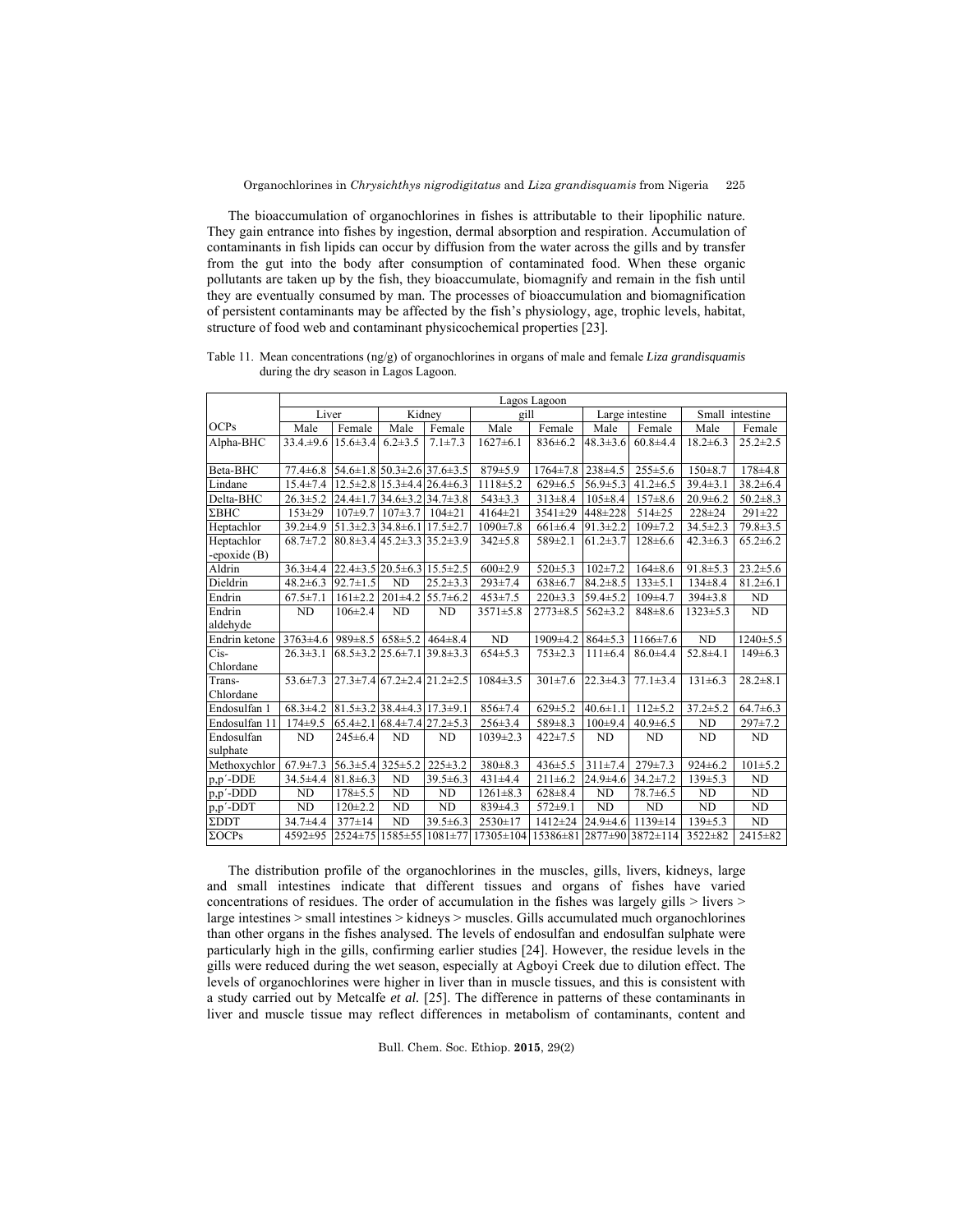The bioaccumulation of organochlorines in fishes is attributable to their lipophilic nature. They gain entrance into fishes by ingestion, dermal absorption and respiration. Accumulation of contaminants in fish lipids can occur by diffusion from the water across the gills and by transfer from the gut into the body after consumption of contaminated food. When these organic pollutants are taken up by the fish, they bioaccumulate, biomagnify and remain in the fish until they are eventually consumed by man. The processes of bioaccumulation and biomagnification of persistent contaminants may be affected by the fish's physiology, age, trophic levels, habitat, structure of food web and contaminant physicochemical properties [23].

Table 11. Mean concentrations (ng/g) of organochlorines in organs of male and female *Liza grandisquamis* during the dry season in Lagos Lagoon.

|                              | Lagos Lagoon                                                      |                |                                              |                 |                         |                            |                |                 |                |                |
|------------------------------|-------------------------------------------------------------------|----------------|----------------------------------------------|-----------------|-------------------------|----------------------------|----------------|-----------------|----------------|----------------|
|                              | Liver                                                             |                |                                              | Kidney          | gill<br>Large intestine |                            |                | Small intestine |                |                |
| OCPs                         | Male                                                              | Female         | Male                                         | Female          | Male                    | Female                     | Male           | Female          | Male           | Female         |
| Alpha-BHC                    | $33.4 \pm 9.6$                                                    | $15.6 \pm 3.4$ | $6.2 \pm 3.5$                                | $7.1 \pm 7.3$   | $1627 \pm 6.1$          | $836 \pm 6.2$              | $48.3 \pm 3.6$ | $60.8 + 4.4$    | $18.2 \pm 6.3$ | $25.2 \pm 2.5$ |
| Beta-BHC                     | $77.4 \pm 6.8$                                                    |                | $54.6 \pm 1.8$ $50.3 \pm 2.6$ 37.6 $\pm 3.5$ |                 | $879 \pm 5.9$           | $1764 \pm 7.8$ 238 ± 4.5   |                | $255 \pm 5.6$   | $150 + 8.7$    | $178 + 4.8$    |
| Lindane                      | $15.4 \pm 7.4$                                                    |                | $12.5 \pm 2.8$ 15.3 $\pm 4.4$ 26.4 $\pm 6.3$ |                 | $1118 \pm 5.2$          | $629 \pm 6.5$              | $56.9 \pm 5.3$ | $41.2 \pm 6.5$  | $39.4 \pm 3.1$ | $38.2 \pm 6.4$ |
| Delta-BHC                    | $26.3 \pm 5.2$                                                    |                | $24.4 \pm 1.7$ 34.6 $\pm$ 3.2 34.7 $\pm$ 3.8 |                 | $543 \pm 3.3$           | $313 \pm 8.4$              | $105 \pm 8.4$  | $157 \pm 8.6$   | $20.9 \pm 6.2$ | $50.2 \pm 8.3$ |
| $\Sigma$ BHC                 | $153 + 29$                                                        |                | $107\pm9.7$ $107\pm3.7$ $104\pm21$           |                 | $4164 \pm 21$           | $3541 \pm 29$              | 448±228        | 514±25          | $228 + 24$     | $291 \pm 22$   |
| Heptachlor                   | $39.2 \pm 4.9$                                                    |                | $51.3\pm 2.3$ 34.8 $\pm 6.1$ 17.5 $\pm 2.7$  |                 | $1090 \pm 7.8$          | $661 \pm 6.4$              | $91.3 \pm 2.2$ | $109 \pm 7.2$   | $34.5 \pm 2.3$ | $79.8 \pm 3.5$ |
| Heptachlor<br>-epoxide $(B)$ | $68.7 \pm 7.2$                                                    |                | $80.8\pm3.4$ 45.2 $\pm3.3$ 35.2 $\pm3.9$     |                 | $342 \pm 5.8$           | $589 \pm 2.1$              | $61.2 \pm 3.7$ | $128 \pm 6.6$   | $42.3 \pm 6.3$ | $65.2 \pm 6.2$ |
| Aldrin                       | $36.3 \pm 4.4$                                                    |                | $22.4\pm3.5$ $20.5\pm6.3$ $15.5\pm2.5$       |                 | $600\pm2.9$             | $520 \pm 5.3$              | $102 \pm 7.2$  | $164\pm8.6$     | $91.8 \pm 5.3$ | $23.2 \pm 5.6$ |
| Dieldrin                     | $48.2 \pm 6.3$                                                    | $92.7 \pm 1.5$ | $\overline{ND}$                              | $25.2 \pm 3.3$  | $293 \pm 7.4$           | $638 \pm 6.7$              | $84.2 \pm 8.5$ | $133 \pm 5.1$   | $134\pm8.4$    | $81.2 \pm 6.1$ |
| Endrin                       | $67.5 \pm 7.1$                                                    | $161 \pm 2.2$  | $201\pm4.2$ 55.7 $\pm6.2$                    |                 | $453 \pm 7.5$           | $220 \pm 3.3$              | $59.4 \pm 5.2$ | $109+4.7$       | $394 \pm 3.8$  | ND             |
| Endrin<br>aldehyde           | <b>ND</b>                                                         | $106 \pm 2.4$  | <b>ND</b>                                    | <b>ND</b>       | $3571 \pm 5.8$          | $2773 \pm 8.5$             | $562 \pm 3.2$  | $848 \pm 8.6$   | $1323 \pm 5.3$ | <b>ND</b>      |
| Endrin ketone                | $3763\pm4.6$ 989 $\pm8.5$ 658 $\pm5.2$ 464 $\pm8.4$               |                |                                              |                 | N <sub>D</sub>          | $1909\pm4.2$ 864 $\pm$ 5.3 |                | $1166 \pm 7.6$  | <b>ND</b>      | $1240 \pm 5.5$ |
| Cis-<br>Chlordane            | $26.3 \pm 3.1$                                                    |                | $68.5\pm3.2$ $25.6\pm7.1$ $39.8\pm3.3$       |                 | $654 \pm 5.3$           | $753 \pm 2.3$              | $111\pm 6.4$   | $86.0 \pm 4.4$  | $52.8 + 4.1$   | $149 \pm 6.3$  |
| Trans-<br>Chlordane          | $53.6 \pm 7.3$                                                    |                | $27.3 \pm 7.4$ 67.2 $\pm 2.4$ 21.2 $\pm 2.5$ |                 | $1084 \pm 3.5$          | $301 \pm 7.6$              | $22.3 + 4.3$   | $77.1 \pm 3.4$  | $131 \pm 6.3$  | $28.2 \pm 8.1$ |
| Endosulfan 1                 | $68.3\pm4.2$ $\left[81.5\pm3.2\right]38.4\pm4.3\right]17.3\pm9.1$ |                |                                              |                 | $856 \pm 7.4$           | $629 \pm 5.2$              | $40.6 \pm 1.1$ | $112 \pm 5.2$   | $37.2 \pm 5.2$ | $64.7 \pm 6.3$ |
| Endosulfan 11                | $174\pm9.5$                                                       |                | $65.4\pm2.1$ 68.4 $\pm7.4$ 27.2 $\pm5.3$     |                 | $256 \pm 3.4$           | $589 \pm 8.3$              | $100+9.4$      | $40.9 \pm 6.5$  | <b>ND</b>      | $297 \pm 7.2$  |
| Endosulfan<br>sulphate       | ND                                                                | $245 \pm 6.4$  | ND                                           | ND              | $1039 \pm 2.3$          | $422 \pm 7.5$              | ND             | ND              | ND             | ND             |
| Methoxychlor                 | $67.9 \pm 7.3$                                                    |                | $56.3 \pm 5.4$ 325 $\pm 5.2$ 225 $\pm 3.2$   |                 | $380 + 8.3$             | $436 \pm 5.5$              | $311 \pm 7.4$  | $279 \pm 7.3$   | $924 \pm 6.2$  | $101 \pm 5.2$  |
| p,p'-DDE                     | $34.5 \pm 4.4$                                                    | $81.8 \pm 6.3$ | ND                                           | $39.5 \pm 6.3$  | 431±4.4                 | $211 \pm 6.2$              | $24.9 + 4.6$   | $34.2 \pm 7.2$  | 139±5.3        | ND             |
| $p, p'$ -DDD                 | <b>ND</b>                                                         | $178 + 5.5$    | <b>ND</b>                                    | <b>ND</b>       | $1261 \pm 8.3$          | $628 + 8.4$                | <b>ND</b>      | $78.7 \pm 6.5$  | ND             | <b>ND</b>      |
| $p, p'$ -DDT                 | ND                                                                | $120 \pm 2.2$  | ND                                           | ND              | $839 \pm 4.3$           | $572 + 9.1$                | <b>ND</b>      | ND              | ND             | ND             |
| $\Sigma$ DDT                 | $34.7 + 4.4$                                                      | $377 \pm 14$   | <b>ND</b>                                    | $39.5 \pm 6.3$  | $2530 \pm 17$           | $1412 \pm 24$              | $24.9 \pm 4.6$ | $1139 \pm 14$   | $139 \pm 5.3$  | ND             |
| $\Sigma OCPs$                | 4592±95                                                           | 2524±75        |                                              | 1585±55 1081±77 | $17305 \pm 104$         | 15386±81                   | 2877±90        | 3872±114        | 3522±82        | 2415 ± 82      |

 The distribution profile of the organochlorines in the muscles, gills, livers, kidneys, large and small intestines indicate that different tissues and organs of fishes have varied concentrations of residues. The order of accumulation in the fishes was largely gills > livers > large intestines > small intestines > kidneys > muscles. Gills accumulated much organochlorines than other organs in the fishes analysed. The levels of endosulfan and endosulfan sulphate were particularly high in the gills, confirming earlier studies [24]. However, the residue levels in the gills were reduced during the wet season, especially at Agboyi Creek due to dilution effect. The levels of organochlorines were higher in liver than in muscle tissues, and this is consistent with a study carried out by Metcalfe *et al.* [25]. The difference in patterns of these contaminants in liver and muscle tissue may reflect differences in metabolism of contaminants, content and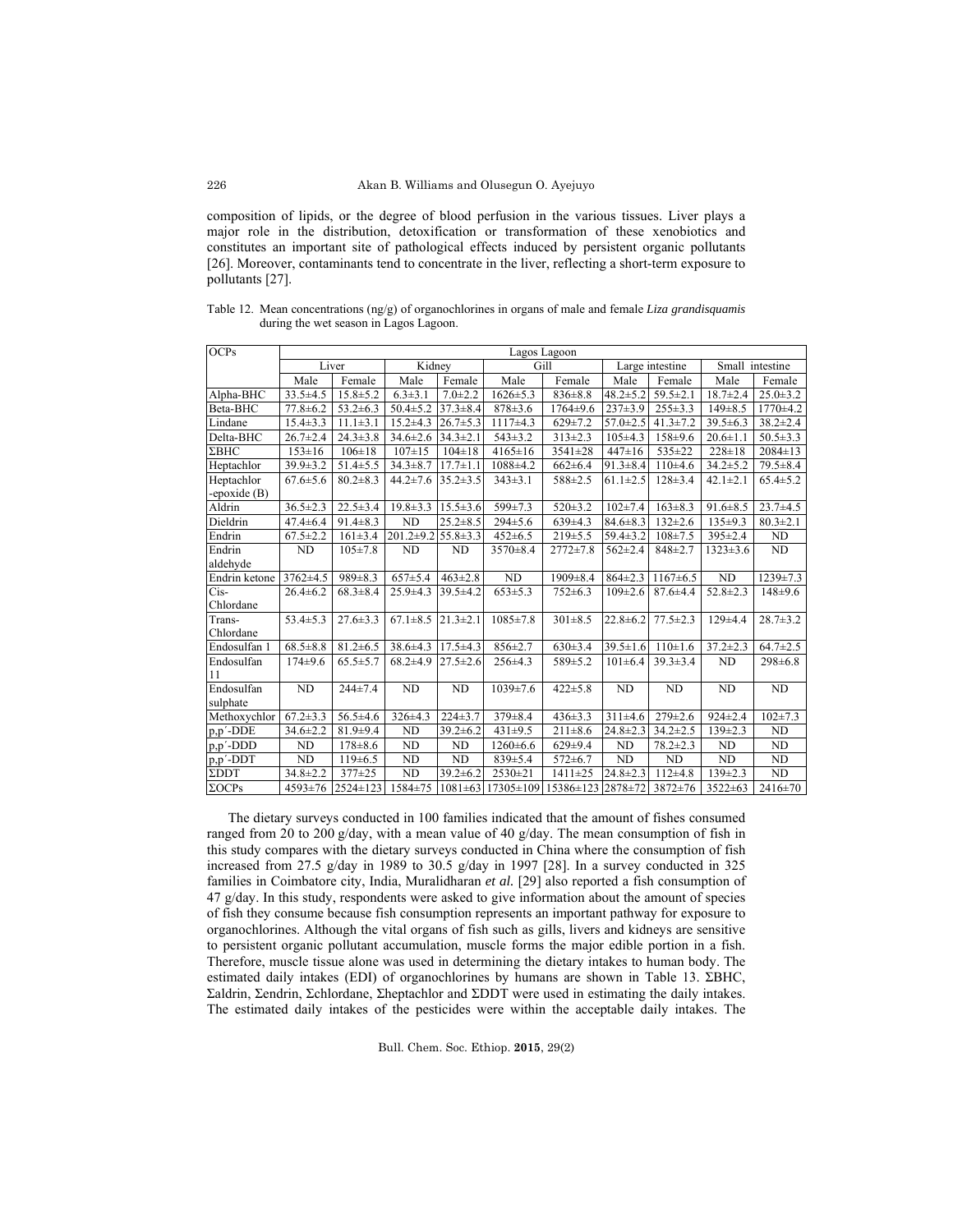composition of lipids, or the degree of blood perfusion in the various tissues. Liver plays a major role in the distribution, detoxification or transformation of these xenobiotics and constitutes an important site of pathological effects induced by persistent organic pollutants [26]. Moreover, contaminants tend to concentrate in the liver, reflecting a short-term exposure to pollutants [27].

Table 12. Mean concentrations (ng/g) of organochlorines in organs of male and female *Liza grandisquamis* during the wet season in Lagos Lagoon.

| OCPs                   | Lagos Lagoon   |                |                 |                |                               |                |                 |                |                 |                |
|------------------------|----------------|----------------|-----------------|----------------|-------------------------------|----------------|-----------------|----------------|-----------------|----------------|
|                        | Liver          |                | Kidney          |                | Gill                          |                | Large intestine |                | Small intestine |                |
|                        | Male           | Female         | Male            | Female         | Male                          | Female         | Male            | Female         | Male            | Female         |
| Alpha-BHC              | $33.5 \pm 4.5$ | $15.8 \pm 5.2$ | $6.3 \pm 3.1$   | $7.0 \pm 2.2$  | $1626 \pm 5.3$                | $836 \pm 8.8$  | $48.2 \pm 5.2$  | $59.5 \pm 2.1$ | $18.7 \pm 2.4$  | $25.0 \pm 3.2$ |
| Beta-BHC               | $77.8 \pm 6.2$ | $53.2 \pm 6.3$ | $50.4 \pm 5.2$  | $37.3 \pm 8.4$ | $878 \pm 3.6$                 | $1764 \pm 9.6$ | $237\pm3.9$     | $255 \pm 3.3$  | $149 \pm 8.5$   | $1770 \pm 4.2$ |
| Lindane                | $15.4 \pm 3.3$ | $11.1 \pm 3.1$ | $15.2 \pm 4.3$  | $26.7 \pm 5.3$ | $1117\pm4.3$                  | $629 \pm 7.2$  | $57.0 \pm 2.5$  | $41.3 \pm 7.2$ | $39.5 \pm 6.3$  | $38.2 \pm 2.4$ |
| Delta-BHC              | $26.7 \pm 2.4$ | $24.3 \pm 3.8$ | $34.6 \pm 2.6$  | $34.3 \pm 2.1$ | $543 \pm 3.2$                 | $313 \pm 2.3$  | $105\pm4.3$     | $158 + 9.6$    | $20.6 \pm 1.1$  | $50.5 \pm 3.3$ |
| $\Sigma$ BHC           | $153 \pm 16$   | $106 \pm 18$   | $107 + 15$      | $104 \pm 18$   | $4165 \pm 16$                 | 3541±28        | $447 \pm 16$    | 535±22         | $228 \pm 18$    | $2084 \pm 13$  |
| Heptachlor             | $39.9 \pm 3.2$ | $51.4 \pm 5.5$ | $34.3 \pm 8.7$  | $17.7 \pm 1.1$ | $1088 \pm 4.2$                | $662 \pm 6.4$  | $91.3 \pm 8.4$  | $110+4.6$      | $34.2 \pm 5.2$  | $79.5 \pm 8.4$ |
| Heptachlor             | $67.6 \pm 5.6$ | $80.2 \pm 8.3$ | $44.2 \pm 7.6$  | $35.2 \pm 3.5$ | $343\pm3.1$                   | 588±2.5        | $61.1 \pm 2.5$  | $128 \pm 3.4$  | $42.1 \pm 2.1$  | $65.4 \pm 5.2$ |
| -epoxide $(B)$         |                |                |                 |                |                               |                |                 |                |                 |                |
| Aldrin                 | $36.5 \pm 2.3$ | $22.5 \pm 3.4$ | $19.8 \pm 3.3$  | $15.5 \pm 3.6$ | $599 \pm 7.3$                 | $520 \pm 3.2$  | $102 \pm 7.4$   | $163 \pm 8.3$  | $91.6 \pm 8.5$  | $23.7 + 4.5$   |
| Dieldrin               | $47.4 \pm 6.4$ | $91.4 \pm 8.3$ | <b>ND</b>       | $25.2 \pm 8.5$ | $294 \pm 5.6$                 | $639+4.3$      | $84.6 \pm 8.3$  | $132 \pm 2.6$  | $135+9.3$       | $80.3 \pm 2.1$ |
| Endrin                 | $67.5 \pm 2.2$ | $161 \pm 3.4$  | $201.2 \pm 9.2$ | $55.8 \pm 3.3$ | $452 \pm 6.5$                 | $219+5.5$      | $59.4 \pm 3.2$  | $108 \pm 7.5$  | $395 \pm 2.4$   | ND             |
| Endrin                 | ND             | $105 \pm 7.8$  | ND              | ND             | $3570 \pm 8.4$                | $2772 \pm 7.8$ | $562 \pm 2.4$   | $848 \pm 2.7$  | $1323 \pm 3.6$  | ND             |
| aldehyde               |                |                |                 |                |                               |                |                 |                |                 |                |
| Endrin ketone          | 3762±4.5       | $989 \pm 8.3$  | $657 \pm 5.4$   | $463 \pm 2.8$  | <b>ND</b>                     | $1909 \pm 8.4$ | $864 \pm 2.3$   | $1167 \pm 6.5$ | <b>ND</b>       | $1239 \pm 7.3$ |
| Cis-                   | $26.4 \pm 6.2$ | $68.3 \pm 8.4$ | $25.9 \pm 4.3$  | $39.5 \pm 4.2$ | $653 \pm 5.3$                 | $752 \pm 6.3$  | $109 \pm 2.6$   | $87.6 \pm 4.4$ | $52.8 \pm 2.3$  | $148+9.6$      |
| Chlordane              |                |                |                 |                |                               |                |                 |                |                 |                |
| Trans-                 | $53.4 \pm 5.3$ | $27.6 \pm 3.3$ | $67.1 \pm 8.5$  | $21.3 \pm 2.1$ | $1085 \pm 7.8$                | $301 \pm 8.5$  | $22.8 \pm 6.2$  | $77.5 \pm 2.3$ | $129+4.4$       | $28.7 \pm 3.2$ |
| Chlordane              |                |                |                 |                |                               |                |                 |                |                 |                |
| Endosulfan 1           | $68.5 \pm 8.8$ | $81.2 \pm 6.5$ | $38.6 \pm 4.3$  | $17.5 \pm 4.3$ | $856 \pm 2.7$                 | $630 \pm 3.4$  | $39.5 \pm 1.6$  | $110 \pm 1.6$  | $37.2 \pm 2.3$  | $64.7 \pm 2.5$ |
| Endosulfan<br>11       | $174+9.6$      | $65.5 \pm 5.7$ | $68.2{\pm}4.9$  | $27.5 \pm 2.6$ | $256 \pm 4.3$                 | 589±5.2        | $101 \pm 6.4$   | $39.3 \pm 3.4$ | <b>ND</b>       | $298 \pm 6.8$  |
| Endosulfan<br>sulphate | <b>ND</b>      | $244 \pm 7.4$  | ND              | ND             | $1039 \pm 7.6$                | $422 \pm 5.8$  | ND              | ND             | <b>ND</b>       | <b>ND</b>      |
| Methoxychlor           | $67.2 \pm 3.3$ | $56.5 \pm 4.6$ | 326±4.3         | $224 \pm 3.7$  | 379±8.4                       | $436 \pm 3.3$  | $311\pm4.6$     | $279 \pm 2.6$  | $924 \pm 2.4$   | $102 \pm 7.3$  |
| p,p'-DDE               | $34.6 \pm 2.2$ | $81.9 + 9.4$   | ND              | $39.2 \pm 6.2$ | $431\pm9.5$                   | $211 \pm 8.6$  | $24.8 \pm 2.3$  | $34.2 \pm 2.5$ | $139 \pm 2.3$   | ND             |
| $p, p'$ -DDD           | N <sub>D</sub> | $178 + 8.6$    | ND              | ND             | $1260 \pm 6.6$                | $629+9.4$      | ND              | $78.2 \pm 2.3$ | <b>ND</b>       | ND             |
| p,p'-DDT               | ND             | 119±6.5        | ND              | ND             | $839 \pm 5.4$                 | $572 \pm 6.7$  | <b>ND</b>       | ND             | ND              | ND             |
| $\Sigma$ DDT           | $34.8 \pm 2.2$ | 377±25         | ND              | $39.2 \pm 6.2$ | $2530 \pm 21$                 | $1411 \pm 25$  | $24.8 \pm 2.3$  | $112+4.8$      | $139 \pm 2.3$   | <b>ND</b>      |
| $\Sigma OCPs$          | 4593±76        | 2524±123       | 1584±75         |                | $1081 \pm 63$ 17305 $\pm 109$ | 15386±123      | 2878±72         | $3872 \pm 76$  | 3522±63         | $2416 \pm 70$  |

 The dietary surveys conducted in 100 families indicated that the amount of fishes consumed ranged from 20 to 200 g/day, with a mean value of 40 g/day. The mean consumption of fish in this study compares with the dietary surveys conducted in China where the consumption of fish increased from 27.5 g/day in 1989 to 30.5 g/day in 1997 [28]. In a survey conducted in 325 families in Coimbatore city, India, Muralidharan *et al.* [29] also reported a fish consumption of 47 g/day. In this study, respondents were asked to give information about the amount of species of fish they consume because fish consumption represents an important pathway for exposure to organochlorines. Although the vital organs of fish such as gills, livers and kidneys are sensitive to persistent organic pollutant accumulation, muscle forms the major edible portion in a fish. Therefore, muscle tissue alone was used in determining the dietary intakes to human body. The estimated daily intakes (EDI) of organochlorines by humans are shown in Table 13. ΣBHC, Σaldrin, Σendrin, Σchlordane, Σheptachlor and ΣDDT were used in estimating the daily intakes. The estimated daily intakes of the pesticides were within the acceptable daily intakes. The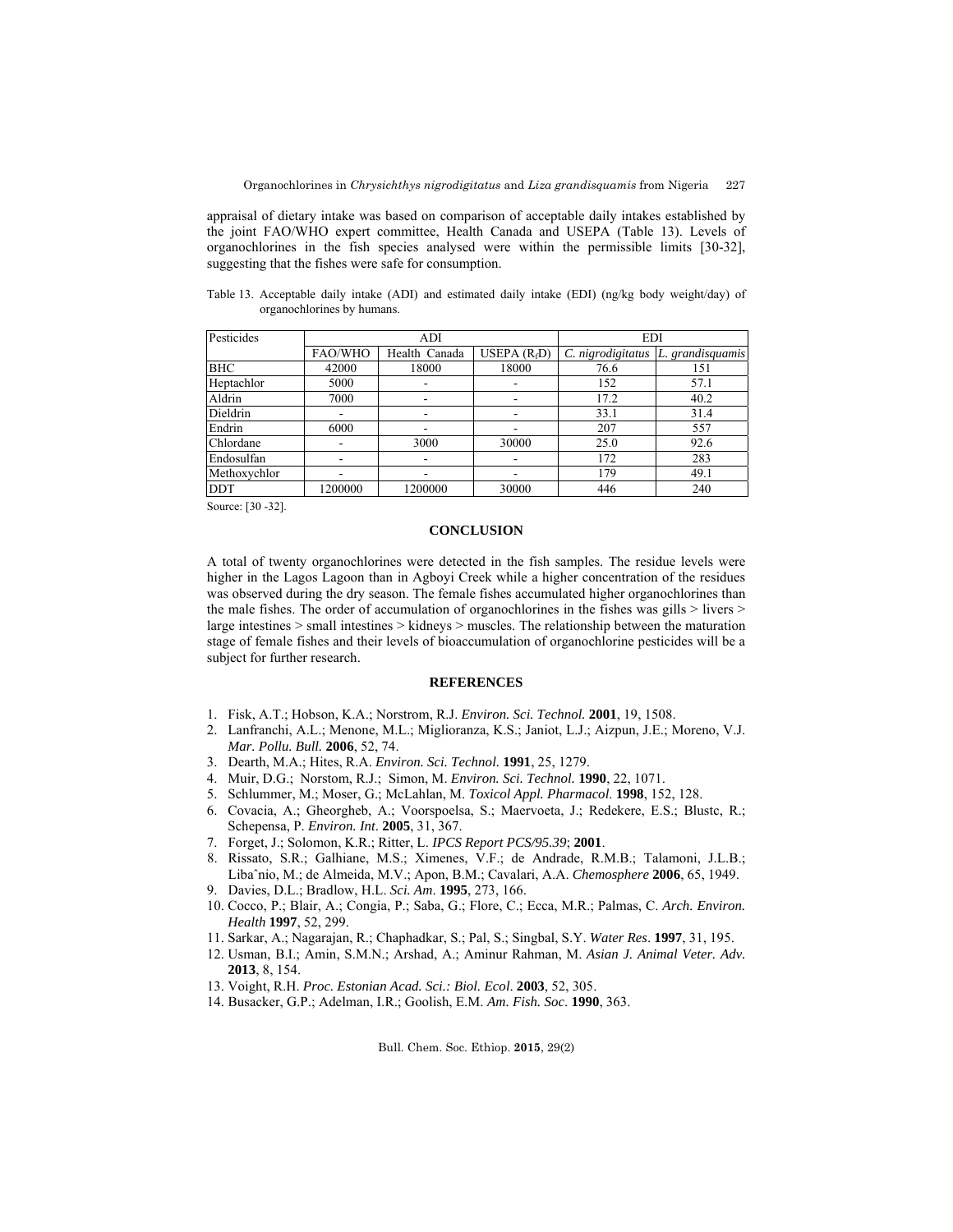appraisal of dietary intake was based on comparison of acceptable daily intakes established by the joint FAO/WHO expert committee, Health Canada and USEPA (Table 13). Levels of organochlorines in the fish species analysed were within the permissible limits [30-32], suggesting that the fishes were safe for consumption.

Table 13. Acceptable daily intake (ADI) and estimated daily intake (EDI) (ng/kg body weight/day) of organochlorines by humans.

| Pesticides   | ADI                      |                          |                          | <b>EDI</b>        |                  |  |  |
|--------------|--------------------------|--------------------------|--------------------------|-------------------|------------------|--|--|
|              | FAO/WHO                  | Health Canada            | USEPA $(R_fD)$           | C. nigrodigitatus | L. grandisquamis |  |  |
| BHC          | 42000                    | 18000                    | 18000                    | 76.6              | 151              |  |  |
| Heptachlor   | 5000                     | $\overline{\phantom{a}}$ |                          | 152               | 57.1             |  |  |
| Aldrin       | 7000                     | $\overline{\phantom{a}}$ | $\overline{\phantom{a}}$ | 17.2              | 40.2             |  |  |
| Dieldrin     | $\overline{\phantom{0}}$ | $\overline{\phantom{a}}$ |                          | 33.1              | 31.4             |  |  |
| Endrin       | 6000                     | $\overline{\phantom{a}}$ |                          | 207               | 557              |  |  |
| Chlordane    |                          | 3000                     | 30000                    | 25.0              | 92.6             |  |  |
| Endosulfan   |                          | $\overline{\phantom{a}}$ |                          | 172               | 283              |  |  |
| Methoxychlor |                          | -                        |                          | 179               | 49.1             |  |  |
| <b>DDT</b>   | 1200000                  | 1200000                  | 30000                    | 446               | 240              |  |  |

Source: [30 -32].

# **CONCLUSION**

A total of twenty organochlorines were detected in the fish samples. The residue levels were higher in the Lagos Lagoon than in Agboyi Creek while a higher concentration of the residues was observed during the dry season. The female fishes accumulated higher organochlorines than the male fishes. The order of accumulation of organochlorines in the fishes was gills > livers > large intestines > small intestines > kidneys > muscles. The relationship between the maturation stage of female fishes and their levels of bioaccumulation of organochlorine pesticides will be a subject for further research.

## **REFERENCES**

- 1. Fisk, A.T.; Hobson, K.A.; Norstrom, R.J. *Environ. Sci. Technol.* **2001**, 19, 1508.
- 2. Lanfranchi, A.L.; Menone, M.L.; Miglioranza, K.S.; Janiot, L.J.; Aizpun, J.E.; Moreno, V.J. *Mar. Pollu. Bull.* **2006**, 52, 74.
- 3. Dearth, M.A.; Hites, R.A. *Environ. Sci. Technol.* **1991**, 25, 1279.
- 4. Muir, D.G.; Norstom, R.J.; Simon, M. *Environ. Sci. Technol.* **1990**, 22, 1071.
- 5. Schlummer, M.; Moser, G.; McLahlan, M. *Toxicol Appl. Pharmacol*. **1998**, 152, 128.
- 6. Covacia, A.; Gheorgheb, A.; Voorspoelsa, S.; Maervoeta, J.; Redekere, E.S.; Blustc, R.; Schepensa, P. *Environ. Int*. **2005**, 31, 367.
- 7. Forget, J.; Solomon, K.R.; Ritter, L. *IPCS Report PCS/95.39*; **2001**.
- 8. Rissato, S.R.; Galhiane, M.S.; Ximenes, V.F.; de Andrade, R.M.B.; Talamoni, J.L.B.; Libaˆnio, M.; de Almeida, M.V.; Apon, B.M.; Cavalari, A.A. *Chemosphere* **2006**, 65, 1949.
- 9. Davies, D.L.; Bradlow, H.L. *Sci. Am*. **1995**, 273, 166.
- 10. Cocco, P.; Blair, A.; Congia, P.; Saba, G.; Flore, C.; Ecca, M.R.; Palmas, C. *Arch. Environ. Health* **1997**, 52, 299.
- 11. Sarkar, A.; Nagarajan, R.; Chaphadkar, S.; Pal, S.; Singbal, S.Y. *Water Res*. **1997**, 31, 195.
- 12. Usman, B.I.; Amin, S.M.N.; Arshad, A.; Aminur Rahman, M. *Asian J. Animal Veter. Adv.* **2013**, 8, 154.
- 13. Voight, R.H. *Proc. Estonian Acad. Sci.: Biol. Ecol*. **2003**, 52, 305.
- 14. Busacker, G.P.; Adelman, I.R.; Goolish, E.M. *Am. Fish. Soc*. **1990**, 363.